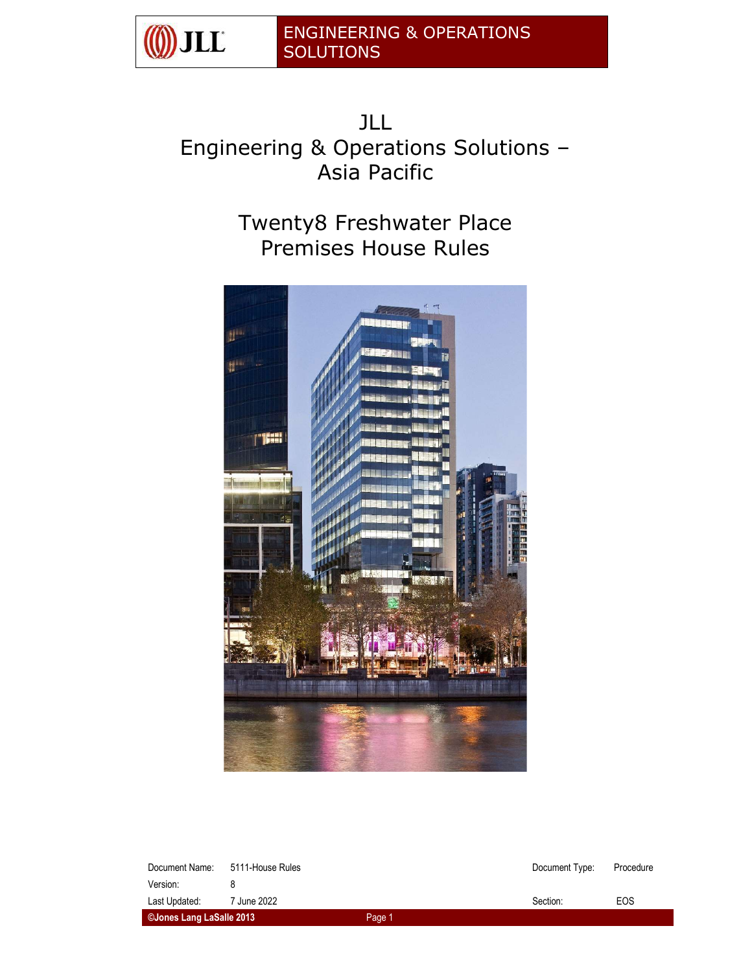

JLL Engineering & Operations Solutions -Asia Pacific

> Twenty8 Freshwater Place Premises House Rules



| Document Name:            | 5111-House Rules |        | Document Type: | Procedure |
|---------------------------|------------------|--------|----------------|-----------|
| Version:<br>Last Updated: | 7 June 2022      |        | Section:       | EOS       |
| ©Jones Lang LaSalle 2013  |                  | Page 1 |                |           |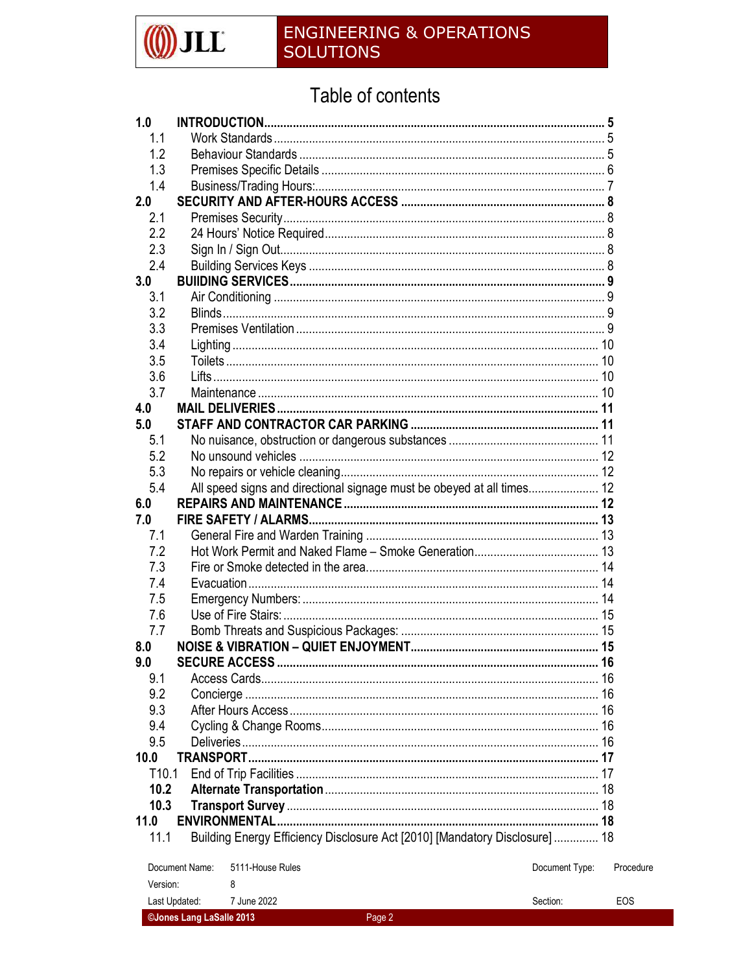

©Jones Lang LaSalle 2013

### **ENGINEERING & OPERATIONS SOLUTIONS**

## Table of contents

| 1.0               |                |                                                                             |                |           |
|-------------------|----------------|-----------------------------------------------------------------------------|----------------|-----------|
| 1.1               |                |                                                                             |                |           |
| 1.2               |                |                                                                             |                |           |
| 1.3               |                |                                                                             |                |           |
| 1.4               |                |                                                                             |                |           |
| 2.0               |                |                                                                             |                |           |
| 2.1               |                |                                                                             |                |           |
| 2.2               |                |                                                                             |                |           |
| 2.3               |                |                                                                             |                |           |
| 2.4               |                |                                                                             |                |           |
| 3.0               |                |                                                                             |                |           |
| 3.1               |                |                                                                             |                |           |
| 3.2               |                |                                                                             |                |           |
| 3.3               |                |                                                                             |                |           |
| 3.4               |                |                                                                             |                |           |
| 3.5               |                |                                                                             |                |           |
| 3.6               |                |                                                                             |                |           |
| 3.7               |                |                                                                             |                |           |
| 4.0               |                |                                                                             |                |           |
| 5.0               |                |                                                                             |                |           |
| 5.1               |                |                                                                             |                |           |
| 5.2               |                |                                                                             |                |           |
| 5.3               |                |                                                                             |                |           |
| 5.4               |                | All speed signs and directional signage must be obeyed at all times 12      |                |           |
| 6.0               |                |                                                                             |                |           |
| 7.0               |                |                                                                             |                |           |
| 7.1               |                |                                                                             |                |           |
| 7.2               |                |                                                                             |                |           |
| 7.3               |                |                                                                             |                |           |
| 7.4               |                |                                                                             |                |           |
| 7.5               |                |                                                                             |                |           |
| 7.6               |                |                                                                             |                |           |
| 7.7               |                |                                                                             |                |           |
| 8.0               |                |                                                                             |                |           |
| 9.0               |                | <b>SECURE ACCESS</b><br>$\sim$ 16                                           |                |           |
| 9.1               |                |                                                                             |                |           |
| 9.2               |                |                                                                             |                |           |
| 9.3               |                |                                                                             |                |           |
| 9.4               |                |                                                                             |                |           |
| 9.5               |                |                                                                             |                |           |
| 10.0              |                |                                                                             |                |           |
| T <sub>10.1</sub> |                |                                                                             |                |           |
| 10.2              |                |                                                                             |                |           |
| 10.3              |                |                                                                             |                |           |
| 11.0              |                |                                                                             |                |           |
| 11.1              |                | Building Energy Efficiency Disclosure Act [2010] [Mandatory Disclosure]  18 |                |           |
|                   | Document Name: | 5111-House Rules                                                            | Document Type: | Procedure |
| Version:          |                | 8                                                                           |                |           |
|                   | Last Updated:  | 7 June 2022                                                                 | Section:       | EOS       |

Page 2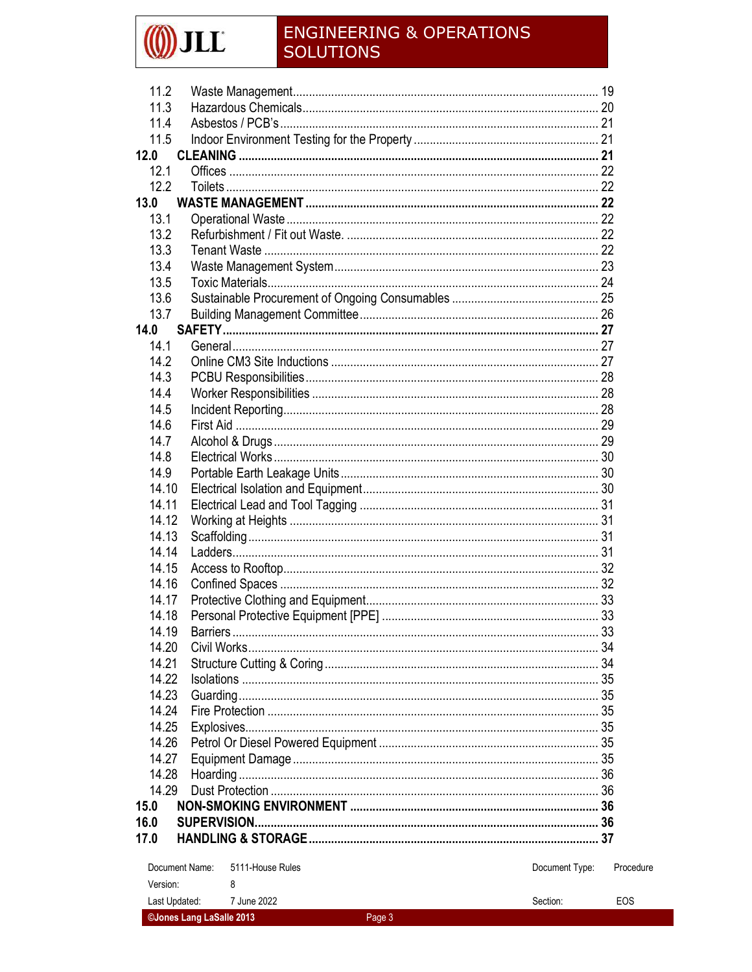# $\int$ j $\int$ j $\int$

### **ENGINEERING & OPERATIONS SOLUTIONS**

| 11.2                               |                |           |
|------------------------------------|----------------|-----------|
| 11.3                               |                |           |
| 11.4                               |                |           |
| 11.5                               |                |           |
| 12.0                               |                |           |
| 12.1                               |                |           |
| 12.2                               |                |           |
| 13.0                               |                |           |
| 13.1                               |                |           |
| 13.2                               |                |           |
| 13.3                               |                |           |
| 13.4                               |                |           |
| 13.5                               |                |           |
| 13.6                               |                |           |
| 13.7                               |                |           |
| 14.0                               |                |           |
| 14.1                               |                |           |
| 14.2                               |                |           |
| 14.3                               |                |           |
| 14.4                               |                |           |
| 14.5                               |                |           |
| 14.6                               |                |           |
| 14.7                               |                |           |
|                                    |                |           |
| 14.8                               |                |           |
| 14.9                               |                |           |
| 14.10                              |                |           |
| 14.11                              |                |           |
| 14.12                              |                |           |
| 14.13                              |                |           |
| 14.14                              |                |           |
| 14.15                              |                |           |
| 14.16                              |                |           |
| 14.17                              |                |           |
| 14.18                              |                |           |
| 14.19<br><b>Barriers</b>           |                | -33       |
| 14.20                              |                |           |
| 14.21                              |                |           |
| 14.22                              |                |           |
| 14.23                              |                |           |
| 14.24                              |                |           |
| 14.25                              |                |           |
| 14.26                              |                |           |
| 14.27                              |                |           |
| 14.28                              |                |           |
| 14.29                              |                |           |
| 15.0                               |                |           |
| 16.0                               |                |           |
| 17.0                               |                |           |
|                                    |                |           |
| Document Name:<br>5111-House Rules | Document Type: | Procedure |
| Version:<br>8                      |                |           |
| Last Updated:<br>7 June 2022       | Section:       | EOS       |
| ©Jones Lang LaSalle 2013           | Page 3         |           |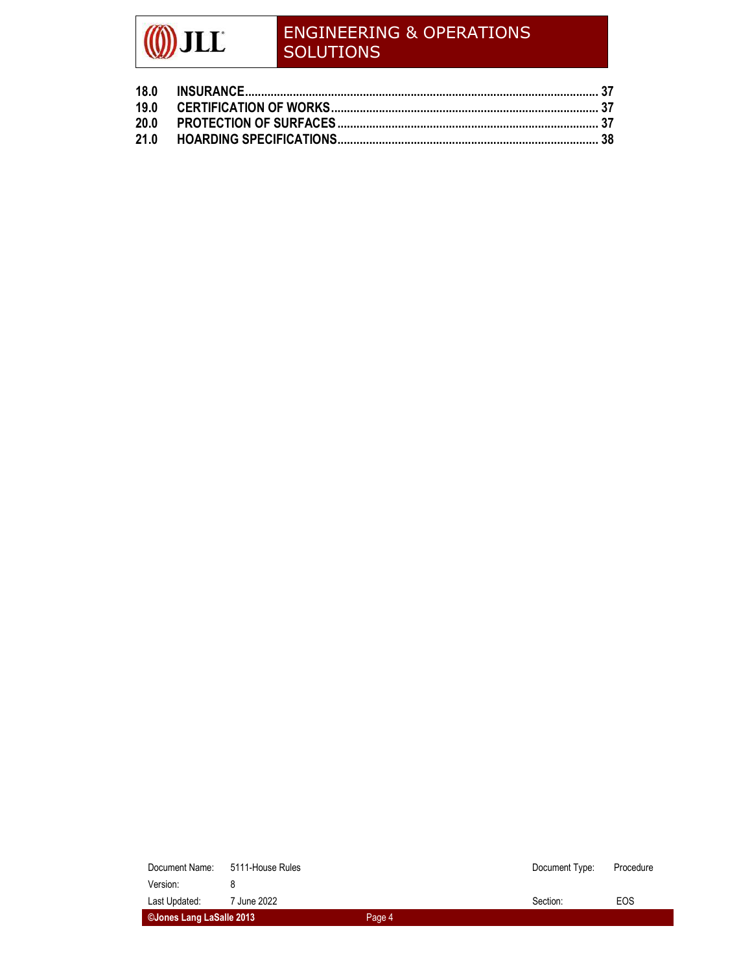| ©Jones Lang LaSalle 2013 |                                 | Page 4 |                |           |
|--------------------------|---------------------------------|--------|----------------|-----------|
| Last Updated:            | 7 June 2022                     |        | Section:       | EOS       |
| Version:                 |                                 |        |                |           |
|                          | Document Name: 5111-House Rules |        | Document Type: | Procedure |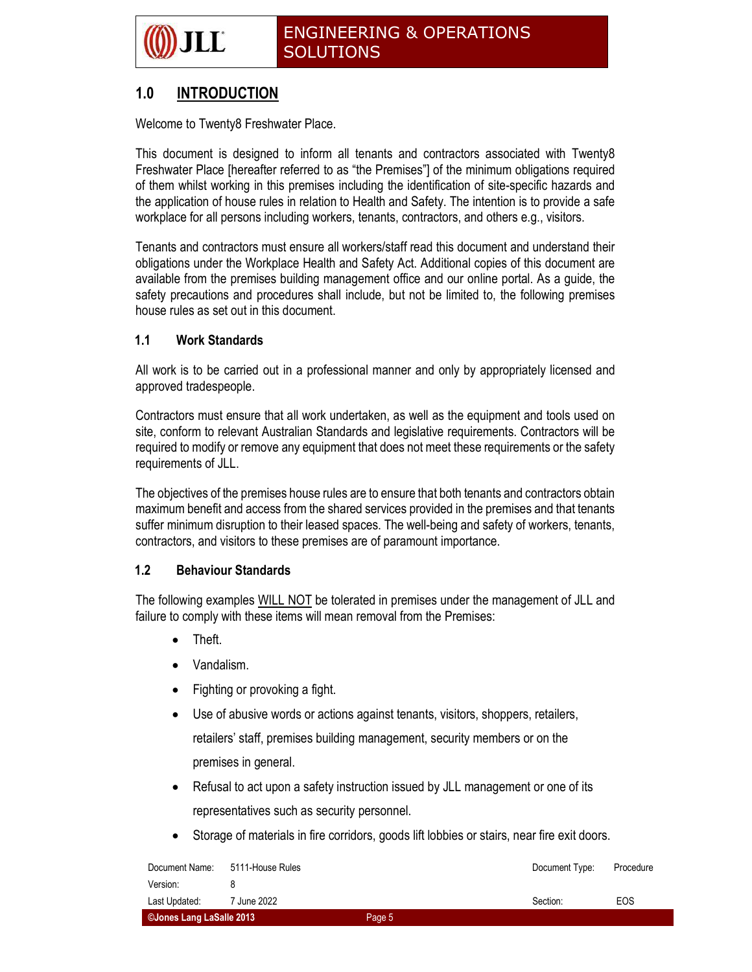### 1.0 INTRODUCTION

Welcome to Twenty8 Freshwater Place.

This document is designed to inform all tenants and contractors associated with Twenty8 Freshwater Place [hereafter referred to as "the Premises"] of the minimum obligations required of them whilst working in this premises including the identification of site-specific hazards and the application of house rules in relation to Health and Safety. The intention is to provide a safe workplace for all persons including workers, tenants, contractors, and others e.g., visitors.

Tenants and contractors must ensure all workers/staff read this document and understand their obligations under the Workplace Health and Safety Act. Additional copies of this document are available from the premises building management office and our online portal. As a guide, the safety precautions and procedures shall include, but not be limited to, the following premises house rules as set out in this document.

#### 1.1 Work Standards

All work is to be carried out in a professional manner and only by appropriately licensed and approved tradespeople.

Contractors must ensure that all work undertaken, as well as the equipment and tools used on site, conform to relevant Australian Standards and legislative requirements. Contractors will be required to modify or remove any equipment that does not meet these requirements or the safety requirements of JLL.

The objectives of the premises house rules are to ensure that both tenants and contractors obtain maximum benefit and access from the shared services provided in the premises and that tenants suffer minimum disruption to their leased spaces. The well-being and safety of workers, tenants, contractors, and visitors to these premises are of paramount importance.

#### 1.2 Behaviour Standards

The following examples WILL NOT be tolerated in premises under the management of JLL and failure to comply with these items will mean removal from the Premises:

- Theft.
- Vandalism.
- Fighting or provoking a fight.
- Use of abusive words or actions against tenants, visitors, shoppers, retailers, retailers' staff, premises building management, security members or on the premises in general.
- Refusal to act upon a safety instruction issued by JLL management or one of its representatives such as security personnel.
- Storage of materials in fire corridors, goods lift lobbies or stairs, near fire exit doors.

| Document Name:           | 5111-House Rules |        | Document Type: | Procedure |
|--------------------------|------------------|--------|----------------|-----------|
| Version:                 |                  |        |                |           |
| Last Updated:            | 7 June 2022      |        | Section:       | EOS       |
| ©Jones Lang LaSalle 2013 |                  | Page 5 |                |           |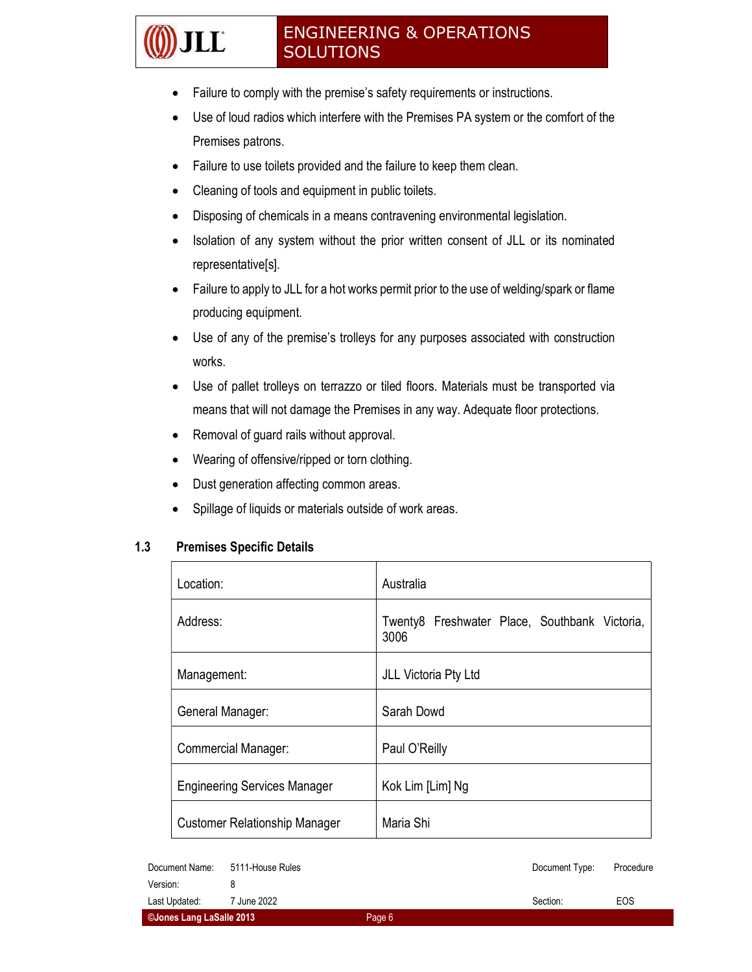- Failure to comply with the premise's safety requirements or instructions.
- Use of loud radios which interfere with the Premises PA system or the comfort of the Premises patrons.
- Failure to use toilets provided and the failure to keep them clean.
- Cleaning of tools and equipment in public toilets.
- Disposing of chemicals in a means contravening environmental legislation.
- Isolation of any system without the prior written consent of JLL or its nominated representative[s].
- Failure to apply to JLL for a hot works permit prior to the use of welding/spark or flame producing equipment.
- Use of any of the premise's trolleys for any purposes associated with construction works.
- Use of pallet trolleys on terrazzo or tiled floors. Materials must be transported via means that will not damage the Premises in any way. Adequate floor protections.
- Removal of guard rails without approval.
- Wearing of offensive/ripped or torn clothing.
- Dust generation affecting common areas.
- Spillage of liquids or materials outside of work areas.

#### 1.3 Premises Specific Details

**LE** 

| Location:                            | Australia                                             |
|--------------------------------------|-------------------------------------------------------|
| Address:                             | Twenty8 Freshwater Place, Southbank Victoria,<br>3006 |
| Management:                          | JLL Victoria Pty Ltd                                  |
| General Manager:                     | Sarah Dowd                                            |
| <b>Commercial Manager:</b>           | Paul O'Reilly                                         |
| <b>Engineering Services Manager</b>  | Kok Lim [Lim] Ng                                      |
| <b>Customer Relationship Manager</b> | Maria Shi                                             |

| ©Jones Lang LaSalle 2013 |                  | Page 6 |                |           |
|--------------------------|------------------|--------|----------------|-----------|
| Last Updated:            | 7 June 2022      |        | Section:       | EOS       |
| Version:                 |                  |        |                |           |
| Document Name:           | 5111-House Rules |        | Document Type: | Procedure |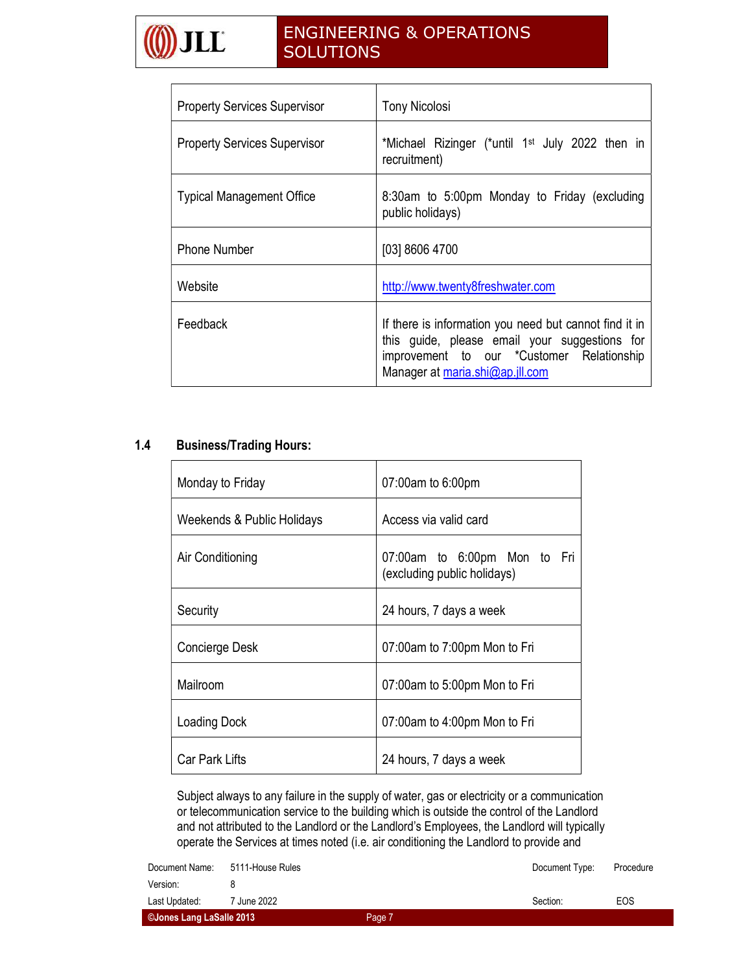

| <b>Property Services Supervisor</b> | <b>Tony Nicolosi</b>                                                                                                                                                                    |
|-------------------------------------|-----------------------------------------------------------------------------------------------------------------------------------------------------------------------------------------|
| <b>Property Services Supervisor</b> | *Michael Rizinger (*until 1 <sup>st</sup> July 2022 then in<br>recruitment)                                                                                                             |
| <b>Typical Management Office</b>    | 8:30am to 5:00pm Monday to Friday (excluding<br>public holidays)                                                                                                                        |
| <b>Phone Number</b>                 | [03] 8606 4700                                                                                                                                                                          |
| Website                             | http://www.twenty8freshwater.com                                                                                                                                                        |
| Feedback                            | If there is information you need but cannot find it in<br>this guide, please email your suggestions for<br>improvement to our *Customer Relationship<br>Manager at maria.shi@ap.jll.com |

#### 1.4 Business/Trading Hours:

| Monday to Friday           | 07:00am to 6:00pm                                           |
|----------------------------|-------------------------------------------------------------|
| Weekends & Public Holidays | Access via valid card                                       |
| Air Conditioning           | 07:00am to 6:00pm Mon to Fri<br>(excluding public holidays) |
| Security                   | 24 hours, 7 days a week                                     |
| Concierge Desk             | 07:00am to 7:00pm Mon to Fri                                |
| Mailroom                   | 07:00am to 5:00pm Mon to Fri                                |
| Loading Dock               | 07:00am to 4:00pm Mon to Fri                                |
| <b>Car Park Lifts</b>      | 24 hours, 7 days a week                                     |

Subject always to any failure in the supply of water, gas or electricity or a communication or telecommunication service to the building which is outside the control of the Landlord and not attributed to the Landlord or the Landlord's Employees, the Landlord will typically operate the Services at times noted (i.e. air conditioning the Landlord to provide and

| ©Jones Lang LaSalle 2013 |                  | Page 7 |                |           |
|--------------------------|------------------|--------|----------------|-----------|
| Last Updated:            | 7 June 2022      |        | Section:       | EOS       |
| Version:                 |                  |        |                |           |
| Document Name:           | 5111-House Rules |        | Document Type: | Procedure |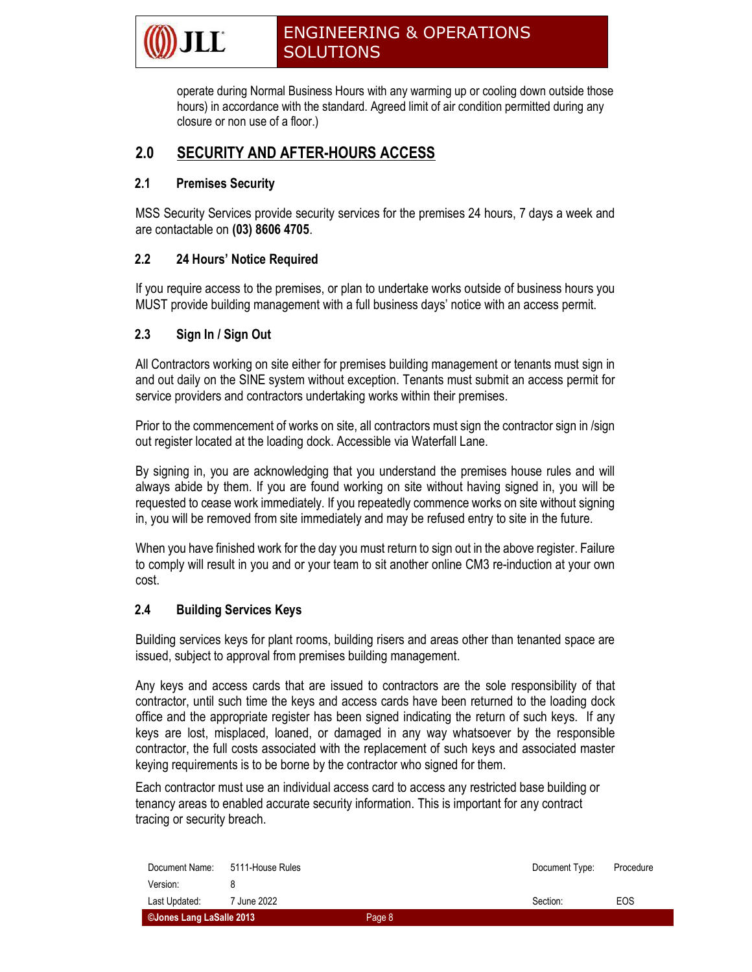operate during Normal Business Hours with any warming up or cooling down outside those hours) in accordance with the standard. Agreed limit of air condition permitted during any closure or non use of a floor.)

#### 2.0 SECURITY AND AFTER-HOURS ACCESS

#### 2.1 Premises Security

MSS Security Services provide security services for the premises 24 hours, 7 days a week and are contactable on (03) 8606 4705.

#### 2.2 24 Hours' Notice Required

If you require access to the premises, or plan to undertake works outside of business hours you MUST provide building management with a full business days' notice with an access permit.

#### 2.3 Sign In / Sign Out

All Contractors working on site either for premises building management or tenants must sign in and out daily on the SINE system without exception. Tenants must submit an access permit for service providers and contractors undertaking works within their premises.

Prior to the commencement of works on site, all contractors must sign the contractor sign in /sign out register located at the loading dock. Accessible via Waterfall Lane.

By signing in, you are acknowledging that you understand the premises house rules and will always abide by them. If you are found working on site without having signed in, you will be requested to cease work immediately. If you repeatedly commence works on site without signing in, you will be removed from site immediately and may be refused entry to site in the future.

When you have finished work for the day you must return to sign out in the above register. Failure to comply will result in you and or your team to sit another online CM3 re-induction at your own cost.

#### 2.4 Building Services Keys

Building services keys for plant rooms, building risers and areas other than tenanted space are issued, subject to approval from premises building management.

Any keys and access cards that are issued to contractors are the sole responsibility of that contractor, until such time the keys and access cards have been returned to the loading dock office and the appropriate register has been signed indicating the return of such keys. If any keys are lost, misplaced, loaned, or damaged in any way whatsoever by the responsible contractor, the full costs associated with the replacement of such keys and associated master keying requirements is to be borne by the contractor who signed for them.

Each contractor must use an individual access card to access any restricted base building or tenancy areas to enabled accurate security information. This is important for any contract tracing or security breach.

| ©Jones Lang LaSalle 2013 |                  | Page 8 |                |           |
|--------------------------|------------------|--------|----------------|-----------|
| Last Updated:            | 7 June 2022      |        | Section:       | EOS       |
| Version:                 |                  |        |                |           |
| Document Name:           | 5111-House Rules |        | Document Type: | Procedure |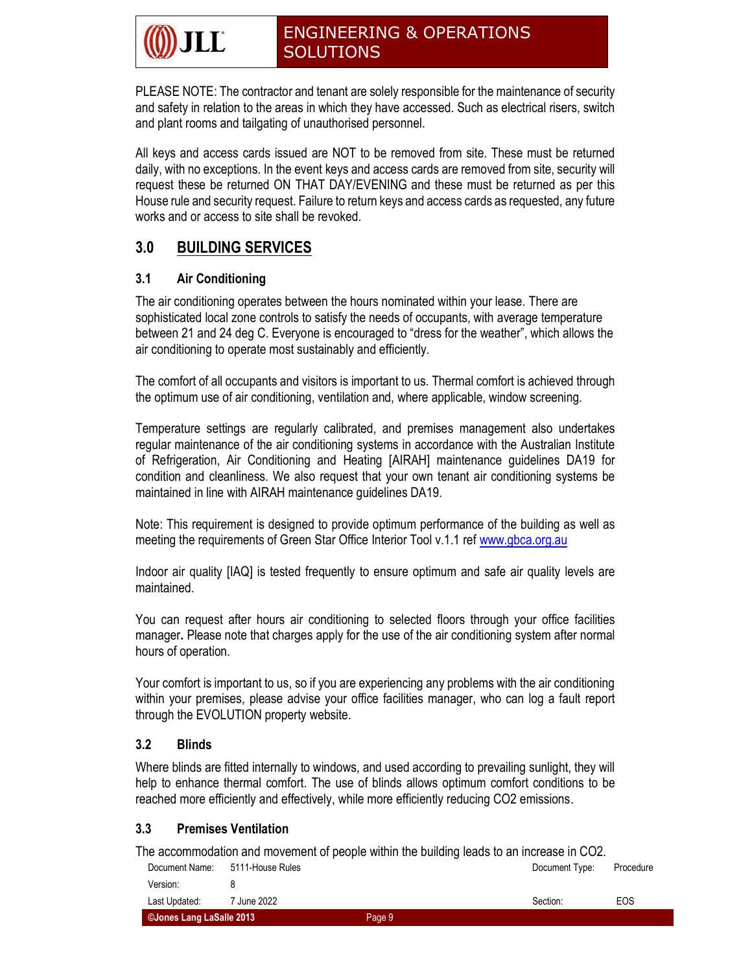PLEASE NOTE: The contractor and tenant are solely responsible for the maintenance of security and safety in relation to the areas in which they have accessed. Such as electrical risers, switch and plant rooms and tailgating of unauthorised personnel.

All keys and access cards issued are NOT to be removed from site. These must be returned daily, with no exceptions. In the event keys and access cards are removed from site, security will request these be returned ON THAT DAY/EVENING and these must be returned as per this House rule and security request. Failure to return keys and access cards as requested, any future works and or access to site shall be revoked.

### 3.0 BUILDING SERVICES

#### 3.1 Air Conditioning

The air conditioning operates between the hours nominated within your lease. There are sophisticated local zone controls to satisfy the needs of occupants, with average temperature between 21 and 24 deg C. Everyone is encouraged to "dress for the weather", which allows the air conditioning to operate most sustainably and efficiently.

The comfort of all occupants and visitors is important to us. Thermal comfort is achieved through the optimum use of air conditioning, ventilation and, where applicable, window screening.

Temperature settings are regularly calibrated, and premises management also undertakes regular maintenance of the air conditioning systems in accordance with the Australian Institute of Refrigeration, Air Conditioning and Heating [AIRAH] maintenance guidelines DA19 for condition and cleanliness. We also request that your own tenant air conditioning systems be maintained in line with AIRAH maintenance guidelines DA19.

Note: This requirement is designed to provide optimum performance of the building as well as meeting the requirements of Green Star Office Interior Tool v.1.1 ref www.gbca.org.au

Indoor air quality [IAQ] is tested frequently to ensure optimum and safe air quality levels are maintained.

You can request after hours air conditioning to selected floors through your office facilities manager. Please note that charges apply for the use of the air conditioning system after normal hours of operation.

Your comfort is important to us, so if you are experiencing any problems with the air conditioning within your premises, please advise your office facilities manager, who can log a fault report through the EVOLUTION property website.

#### 3.2 Blinds

Where blinds are fitted internally to windows, and used according to prevailing sunlight, they will help to enhance thermal comfort. The use of blinds allows optimum comfort conditions to be reached more efficiently and effectively, while more efficiently reducing CO2 emissions.

#### 3.3 Premises Ventilation

The accommodation and movement of people within the building leads to an increase in CO2.

| ©Jones Lang LaSalle 2013 |                        | Page 9 |                |           |
|--------------------------|------------------------|--------|----------------|-----------|
| Last Updated:            | <sup>7</sup> June 2022 |        | Section:       | EOS       |
| Version:                 |                        |        |                |           |
| Document Name:           | 5111-House Rules       |        | Document Type: | Procedure |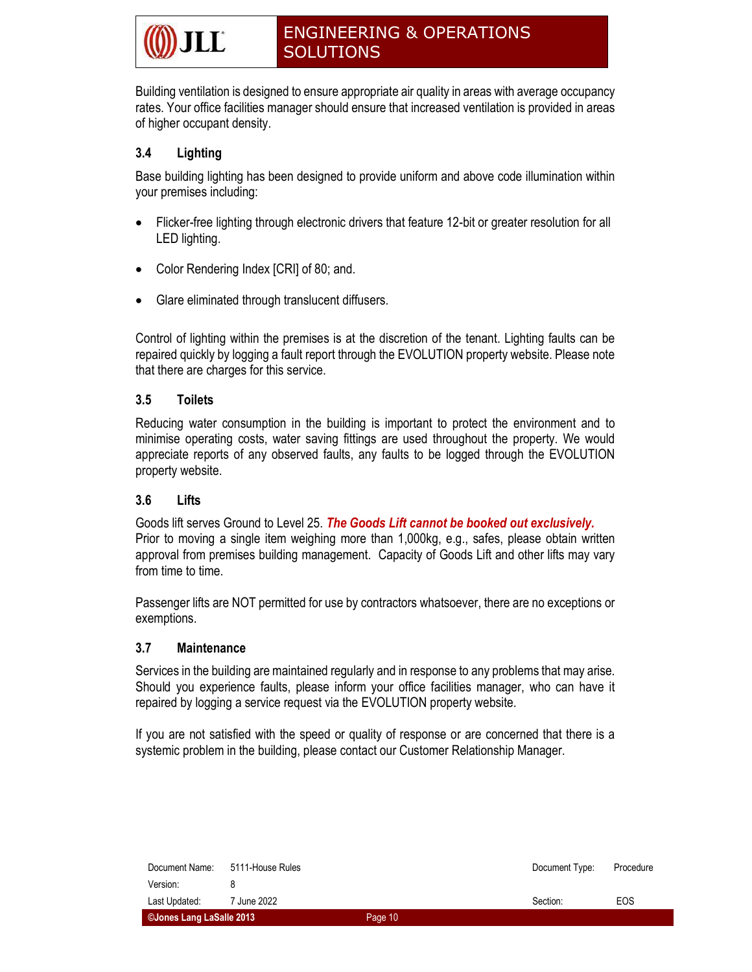Building ventilation is designed to ensure appropriate air quality in areas with average occupancy rates. Your office facilities manager should ensure that increased ventilation is provided in areas of higher occupant density.

#### 3.4 Lighting

Base building lighting has been designed to provide uniform and above code illumination within your premises including:

- Flicker-free lighting through electronic drivers that feature 12-bit or greater resolution for all LED lighting.
- Color Rendering Index [CRI] of 80; and.
- Glare eliminated through translucent diffusers.

Control of lighting within the premises is at the discretion of the tenant. Lighting faults can be repaired quickly by logging a fault report through the EVOLUTION property website. Please note that there are charges for this service.

#### 3.5 Toilets

Reducing water consumption in the building is important to protect the environment and to minimise operating costs, water saving fittings are used throughout the property. We would appreciate reports of any observed faults, any faults to be logged through the EVOLUTION property website.

#### 3.6 Lifts

Goods lift serves Ground to Level 25. The Goods Lift cannot be booked out exclusively. Prior to moving a single item weighing more than 1,000kg, e.g., safes, please obtain written approval from premises building management. Capacity of Goods Lift and other lifts may vary from time to time.

Passenger lifts are NOT permitted for use by contractors whatsoever, there are no exceptions or exemptions.

#### 3.7 Maintenance

Services in the building are maintained regularly and in response to any problems that may arise. Should you experience faults, please inform your office facilities manager, who can have it repaired by logging a service request via the EVOLUTION property website.

If you are not satisfied with the speed or quality of response or are concerned that there is a systemic problem in the building, please contact our Customer Relationship Manager.

| Document Name:           | 5111-House Rules |         | Document Type: | Procedure |
|--------------------------|------------------|---------|----------------|-----------|
| Version:                 |                  |         |                |           |
| Last Updated:            | 7 June 2022      |         | Section:       | EOS       |
| ©Jones Lang LaSalle 2013 |                  | Page 10 |                |           |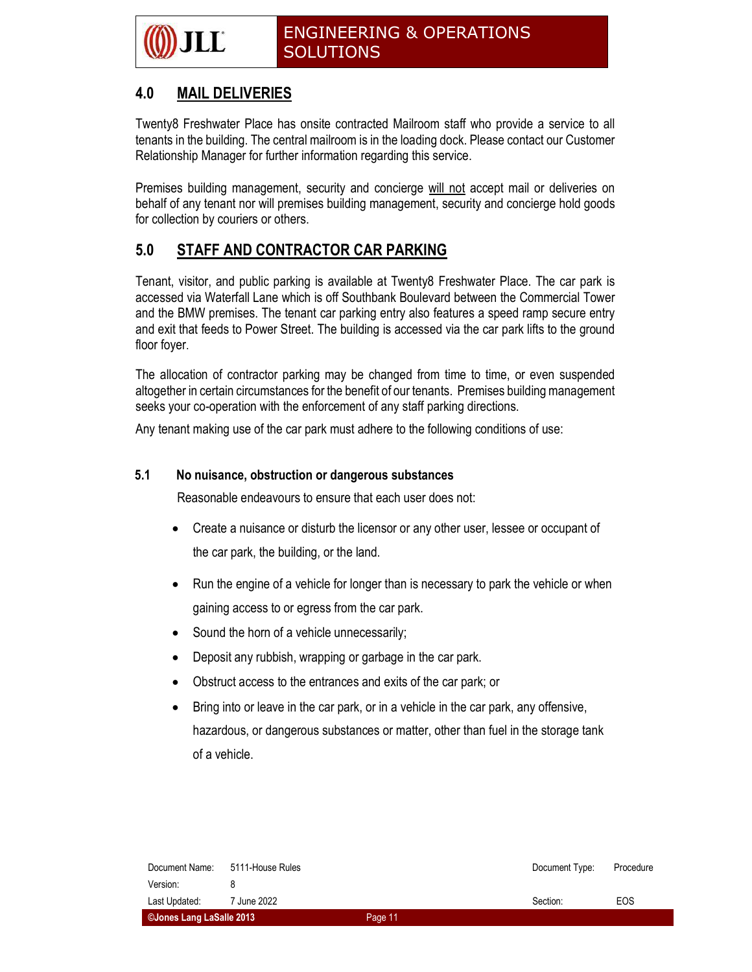### 4.0 MAIL DELIVERIES

Twenty8 Freshwater Place has onsite contracted Mailroom staff who provide a service to all tenants in the building. The central mailroom is in the loading dock. Please contact our Customer Relationship Manager for further information regarding this service.

Premises building management, security and concierge will not accept mail or deliveries on behalf of any tenant nor will premises building management, security and concierge hold goods for collection by couriers or others.

### 5.0 STAFF AND CONTRACTOR CAR PARKING

Tenant, visitor, and public parking is available at Twenty8 Freshwater Place. The car park is accessed via Waterfall Lane which is off Southbank Boulevard between the Commercial Tower and the BMW premises. The tenant car parking entry also features a speed ramp secure entry and exit that feeds to Power Street. The building is accessed via the car park lifts to the ground floor foyer.

The allocation of contractor parking may be changed from time to time, or even suspended altogether in certain circumstances for the benefit of our tenants. Premises building management seeks your co-operation with the enforcement of any staff parking directions.

Any tenant making use of the car park must adhere to the following conditions of use:

#### 5.1 No nuisance, obstruction or dangerous substances

Reasonable endeavours to ensure that each user does not:

- Create a nuisance or disturb the licensor or any other user, lessee or occupant of the car park, the building, or the land.
- Run the engine of a vehicle for longer than is necessary to park the vehicle or when gaining access to or egress from the car park.
- Sound the horn of a vehicle unnecessarily;
- Deposit any rubbish, wrapping or garbage in the car park.
- Obstruct access to the entrances and exits of the car park; or
- Bring into or leave in the car park, or in a vehicle in the car park, any offensive, hazardous, or dangerous substances or matter, other than fuel in the storage tank of a vehicle.

| Document Name:                  | 5111-House Rules |         | Document Type: | Procedure |
|---------------------------------|------------------|---------|----------------|-----------|
| Version:                        |                  |         |                |           |
| Last Updated:                   | 7 June 2022      |         | Section:       | EOS       |
| <b>CJones Lang LaSalle 2013</b> |                  | Page 11 |                |           |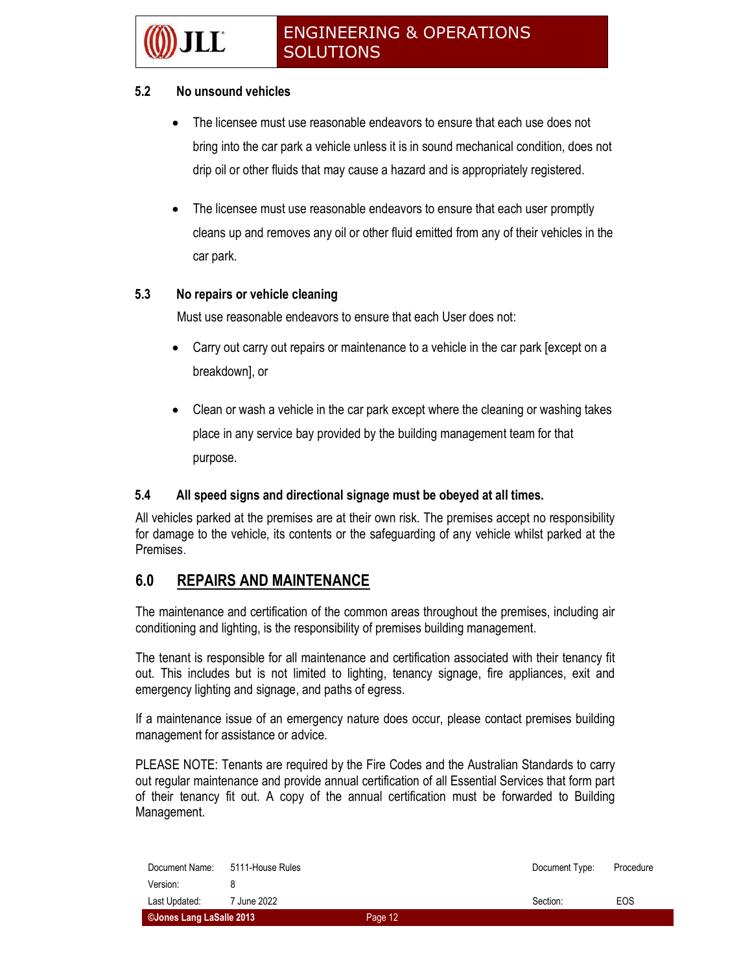#### 5.2 No unsound vehicles

- The licensee must use reasonable endeavors to ensure that each use does not bring into the car park a vehicle unless it is in sound mechanical condition, does not drip oil or other fluids that may cause a hazard and is appropriately registered.
- The licensee must use reasonable endeavors to ensure that each user promptly cleans up and removes any oil or other fluid emitted from any of their vehicles in the car park.

#### 5.3 No repairs or vehicle cleaning

Must use reasonable endeavors to ensure that each User does not:

- Carry out carry out repairs or maintenance to a vehicle in the car park [except on a breakdown], or
- Clean or wash a vehicle in the car park except where the cleaning or washing takes place in any service bay provided by the building management team for that purpose.

#### 5.4 All speed signs and directional signage must be obeyed at all times.

All vehicles parked at the premises are at their own risk. The premises accept no responsibility for damage to the vehicle, its contents or the safeguarding of any vehicle whilst parked at the Premises.

#### 6.0 REPAIRS AND MAINTENANCE

The maintenance and certification of the common areas throughout the premises, including air conditioning and lighting, is the responsibility of premises building management.

The tenant is responsible for all maintenance and certification associated with their tenancy fit out. This includes but is not limited to lighting, tenancy signage, fire appliances, exit and emergency lighting and signage, and paths of egress.

If a maintenance issue of an emergency nature does occur, please contact premises building management for assistance or advice.

PLEASE NOTE: Tenants are required by the Fire Codes and the Australian Standards to carry out regular maintenance and provide annual certification of all Essential Services that form part of their tenancy fit out. A copy of the annual certification must be forwarded to Building Management.

| Document Name:           | 5111-House Rules |         | Document Type: | Procedure |
|--------------------------|------------------|---------|----------------|-----------|
| Version:                 |                  |         |                |           |
| Last Updated:            | 7 June 2022      |         | Section:       | EOS       |
| ©Jones Lang LaSalle 2013 |                  | Page 12 |                |           |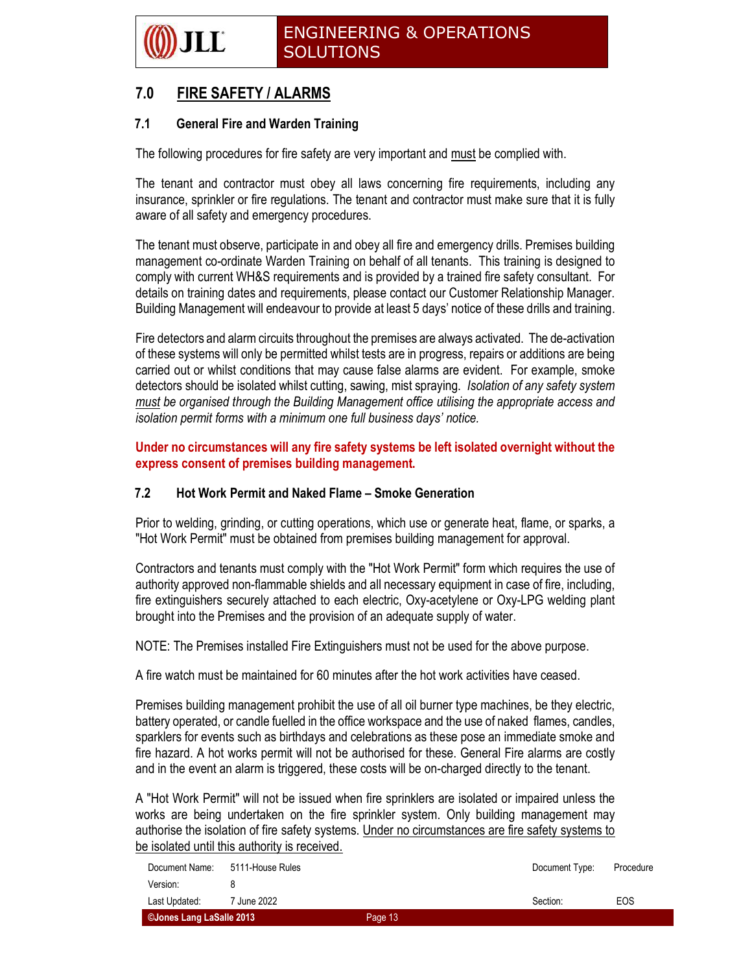

### 7.0 FIRE SAFETY / ALARMS

#### 7.1 General Fire and Warden Training

The following procedures for fire safety are very important and must be complied with.

The tenant and contractor must obey all laws concerning fire requirements, including any insurance, sprinkler or fire regulations. The tenant and contractor must make sure that it is fully aware of all safety and emergency procedures.

The tenant must observe, participate in and obey all fire and emergency drills. Premises building management co-ordinate Warden Training on behalf of all tenants. This training is designed to comply with current WH&S requirements and is provided by a trained fire safety consultant. For details on training dates and requirements, please contact our Customer Relationship Manager. Building Management will endeavour to provide at least 5 days' notice of these drills and training.

Fire detectors and alarm circuits throughout the premises are always activated. The de-activation of these systems will only be permitted whilst tests are in progress, repairs or additions are being carried out or whilst conditions that may cause false alarms are evident. For example, smoke detectors should be isolated whilst cutting, sawing, mist spraying. Isolation of any safety system must be organised through the Building Management office utilising the appropriate access and isolation permit forms with a minimum one full business days' notice.

Under no circumstances will any fire safety systems be left isolated overnight without the express consent of premises building management.

#### 7.2 Hot Work Permit and Naked Flame – Smoke Generation

Prior to welding, grinding, or cutting operations, which use or generate heat, flame, or sparks, a "Hot Work Permit" must be obtained from premises building management for approval.

Contractors and tenants must comply with the "Hot Work Permit" form which requires the use of authority approved non-flammable shields and all necessary equipment in case of fire, including, fire extinguishers securely attached to each electric, Oxy-acetylene or Oxy-LPG welding plant brought into the Premises and the provision of an adequate supply of water.

NOTE: The Premises installed Fire Extinguishers must not be used for the above purpose.

A fire watch must be maintained for 60 minutes after the hot work activities have ceased.

Premises building management prohibit the use of all oil burner type machines, be they electric, battery operated, or candle fuelled in the office workspace and the use of naked flames, candles, sparklers for events such as birthdays and celebrations as these pose an immediate smoke and fire hazard. A hot works permit will not be authorised for these. General Fire alarms are costly and in the event an alarm is triggered, these costs will be on-charged directly to the tenant.

A "Hot Work Permit" will not be issued when fire sprinklers are isolated or impaired unless the works are being undertaken on the fire sprinkler system. Only building management may authorise the isolation of fire safety systems. Under no circumstances are fire safety systems to be isolated until this authority is received.

| ©Jones Lang LaSalle 2013 |                        | Page 13 |                |           |
|--------------------------|------------------------|---------|----------------|-----------|
| Last Updated:            | <sup>7</sup> June 2022 |         | Section:       | EOS       |
| Version:                 |                        |         |                |           |
| Document Name:           | 5111-House Rules       |         | Document Type: | Procedure |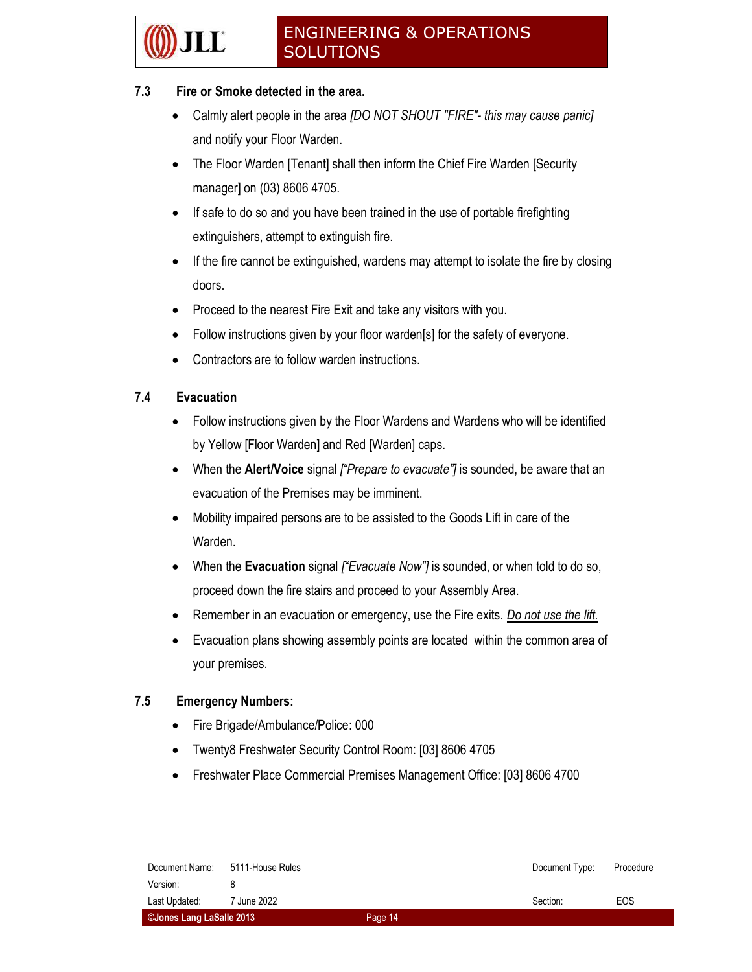#### 7.3 Fire or Smoke detected in the area.

- Calmly alert people in the area [DO NOT SHOUT "FIRE"- this may cause panic] and notify your Floor Warden.
- The Floor Warden [Tenant] shall then inform the Chief Fire Warden [Security manager] on (03) 8606 4705.
- If safe to do so and you have been trained in the use of portable firefighting extinguishers, attempt to extinguish fire.
- If the fire cannot be extinguished, wardens may attempt to isolate the fire by closing doors.
- Proceed to the nearest Fire Exit and take any visitors with you.
- Follow instructions given by your floor warden[s] for the safety of everyone.
- Contractors are to follow warden instructions.

#### 7.4 Evacuation

- Follow instructions given by the Floor Wardens and Wardens who will be identified by Yellow [Floor Warden] and Red [Warden] caps.
- When the **Alert/Voice** signal  $f^{\prime\prime}$ Prepare to evacuate" is sounded, be aware that an evacuation of the Premises may be imminent.
- Mobility impaired persons are to be assisted to the Goods Lift in care of the Warden.
- When the Evacuation signal *["Evacuate Now"]* is sounded, or when told to do so, proceed down the fire stairs and proceed to your Assembly Area.
- Remember in an evacuation or emergency, use the Fire exits. Do not use the lift.
- Evacuation plans showing assembly points are located within the common area of your premises.

#### 7.5 Emergency Numbers:

- Fire Brigade/Ambulance/Police: 000
- Twenty8 Freshwater Security Control Room: [03] 8606 4705
- Freshwater Place Commercial Premises Management Office: [03] 8606 4700

| Document Name:           | 5111-House Rules |         | Document Type: | Procedure |
|--------------------------|------------------|---------|----------------|-----------|
| Version:                 |                  |         |                |           |
| Last Updated:            | 7 June 2022      |         | Section:       | EOS       |
| ©Jones Lang LaSalle 2013 |                  | Page 14 |                |           |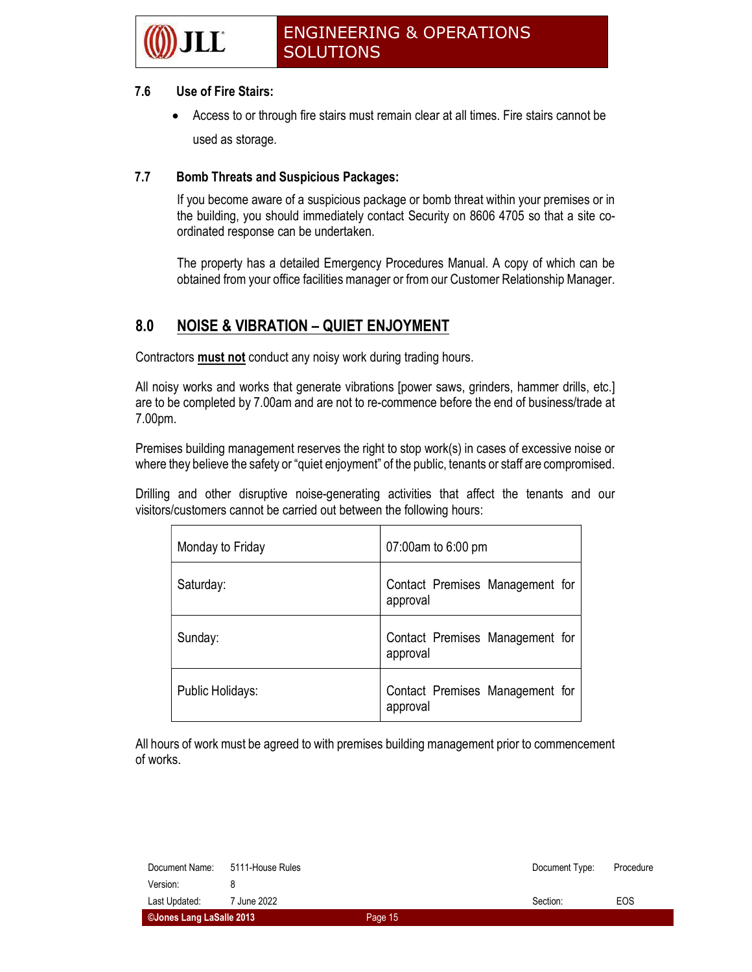

#### 7.6 Use of Fire Stairs:

 Access to or through fire stairs must remain clear at all times. Fire stairs cannot be used as storage.

#### 7.7 Bomb Threats and Suspicious Packages:

If you become aware of a suspicious package or bomb threat within your premises or in the building, you should immediately contact Security on 8606 4705 so that a site coordinated response can be undertaken.

The property has a detailed Emergency Procedures Manual. A copy of which can be obtained from your office facilities manager or from our Customer Relationship Manager.

#### 8.0 NOISE & VIBRATION – QUIET ENJOYMENT

Contractors **must not** conduct any noisy work during trading hours.

All noisy works and works that generate vibrations [power saws, grinders, hammer drills, etc.] are to be completed by 7.00am and are not to re-commence before the end of business/trade at 7.00pm.

Premises building management reserves the right to stop work(s) in cases of excessive noise or where they believe the safety or "quiet enjoyment" of the public, tenants or staff are compromised.

Drilling and other disruptive noise-generating activities that affect the tenants and our visitors/customers cannot be carried out between the following hours:

| Monday to Friday | 07:00am to 6:00 pm                          |
|------------------|---------------------------------------------|
| Saturday:        | Contact Premises Management for<br>approval |
| Sunday:          | Contact Premises Management for<br>approval |
| Public Holidays: | Contact Premises Management for<br>approval |

All hours of work must be agreed to with premises building management prior to commencement of works.

| ©Jones Lang LaSalle 2013 |                  | Page 15 |                |           |
|--------------------------|------------------|---------|----------------|-----------|
| Last Updated:            | 7 June 2022      |         | Section:       | EOS       |
| Version:                 |                  |         |                |           |
| Document Name:           | 5111-House Rules |         | Document Type: | Procedure |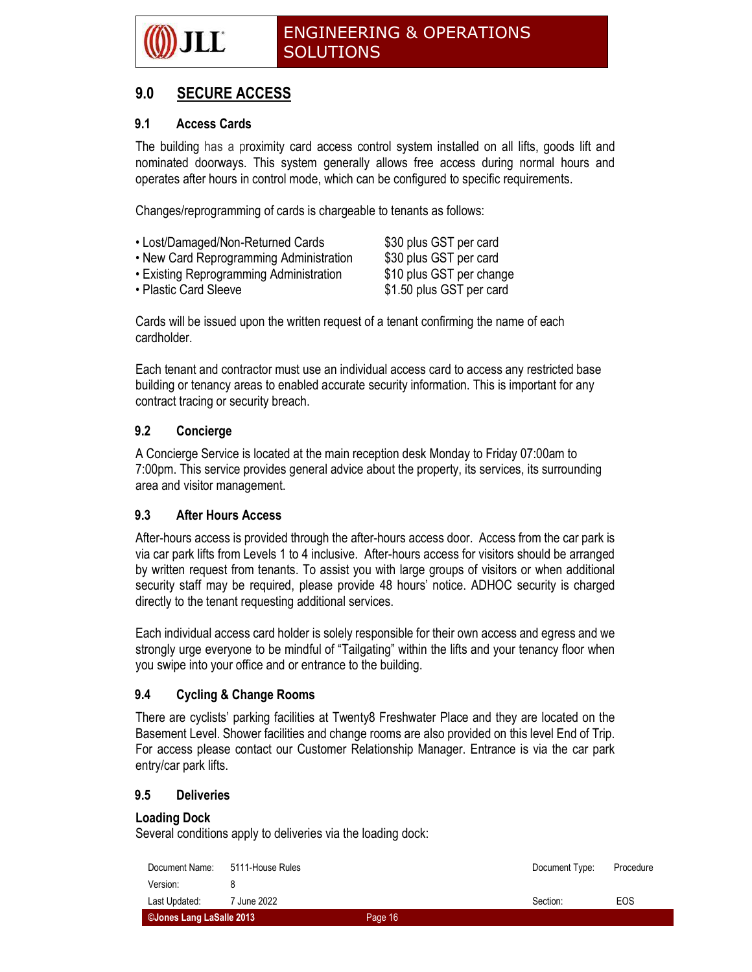

### 9.0 SECURE ACCESS

#### 9.1 Access Cards

The building has a proximity card access control system installed on all lifts, goods lift and nominated doorways. This system generally allows free access during normal hours and operates after hours in control mode, which can be configured to specific requirements.

Changes/reprogramming of cards is chargeable to tenants as follows:

- Lost/Damaged/Non-Returned Cards \$30 plus GST per card
- New Card Reprogramming Administration \$30 plus GST per card
- Existing Reprogramming Administration \$10 plus GST per change

• Plastic Card Sleeve \$1.50 plus GST per card

Cards will be issued upon the written request of a tenant confirming the name of each cardholder.

Each tenant and contractor must use an individual access card to access any restricted base building or tenancy areas to enabled accurate security information. This is important for any contract tracing or security breach.

#### 9.2 Concierge

A Concierge Service is located at the main reception desk Monday to Friday 07:00am to 7:00pm. This service provides general advice about the property, its services, its surrounding area and visitor management.

#### 9.3 After Hours Access

After-hours access is provided through the after-hours access door. Access from the car park is via car park lifts from Levels 1 to 4 inclusive. After-hours access for visitors should be arranged by written request from tenants. To assist you with large groups of visitors or when additional security staff may be required, please provide 48 hours' notice. ADHOC security is charged directly to the tenant requesting additional services.

Each individual access card holder is solely responsible for their own access and egress and we strongly urge everyone to be mindful of "Tailgating" within the lifts and your tenancy floor when you swipe into your office and or entrance to the building.

#### 9.4 Cycling & Change Rooms

There are cyclists' parking facilities at Twenty8 Freshwater Place and they are located on the Basement Level. Shower facilities and change rooms are also provided on this level End of Trip. For access please contact our Customer Relationship Manager. Entrance is via the car park entry/car park lifts.

#### 9.5 Deliveries

#### Loading Dock

Several conditions apply to deliveries via the loading dock:

| ©Jones Lang LaSalle 2013 |                  | Page 16 |                |           |
|--------------------------|------------------|---------|----------------|-----------|
| Last Updated:            | 7 June 2022      |         | Section:       | EOS       |
| Version:                 |                  |         |                |           |
| Document Name:           | 5111-House Rules |         | Document Type: | Procedure |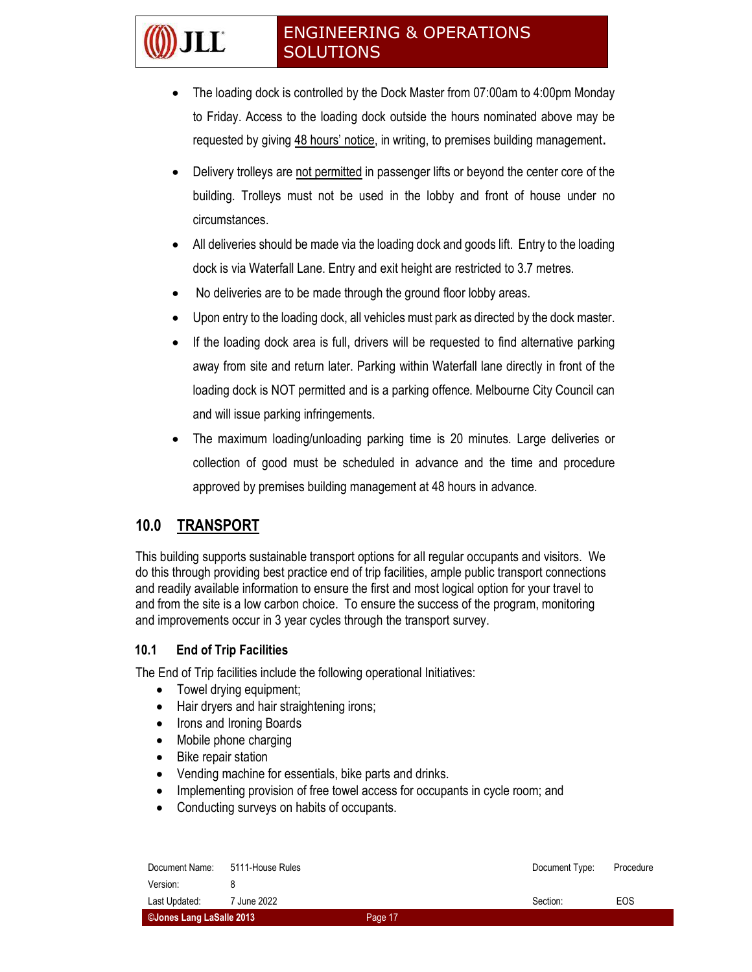- The loading dock is controlled by the Dock Master from 07:00am to 4:00pm Monday to Friday. Access to the loading dock outside the hours nominated above may be requested by giving 48 hours' notice, in writing, to premises building management.
- Delivery trolleys are not permitted in passenger lifts or beyond the center core of the building. Trolleys must not be used in the lobby and front of house under no circumstances.
- All deliveries should be made via the loading dock and goods lift. Entry to the loading dock is via Waterfall Lane. Entry and exit height are restricted to 3.7 metres.
- No deliveries are to be made through the ground floor lobby areas.
- Upon entry to the loading dock, all vehicles must park as directed by the dock master.
- If the loading dock area is full, drivers will be requested to find alternative parking away from site and return later. Parking within Waterfall lane directly in front of the loading dock is NOT permitted and is a parking offence. Melbourne City Council can and will issue parking infringements.
- The maximum loading/unloading parking time is 20 minutes. Large deliveries or collection of good must be scheduled in advance and the time and procedure approved by premises building management at 48 hours in advance.

### 10.0 TRANSPORT

II I °

This building supports sustainable transport options for all regular occupants and visitors. We do this through providing best practice end of trip facilities, ample public transport connections and readily available information to ensure the first and most logical option for your travel to and from the site is a low carbon choice. To ensure the success of the program, monitoring and improvements occur in 3 year cycles through the transport survey.

#### 10.1 End of Trip Facilities

The End of Trip facilities include the following operational Initiatives:

- Towel drying equipment;
- Hair dryers and hair straightening irons;
- Irons and Ironing Boards
- Mobile phone charging
- Bike repair station
- Vending machine for essentials, bike parts and drinks.
- Implementing provision of free towel access for occupants in cycle room; and
- Conducting surveys on habits of occupants.

| Document Name:           | 5111-House Rules |         | Document Type: | Procedure |
|--------------------------|------------------|---------|----------------|-----------|
| Version:                 |                  |         |                |           |
| Last Updated:            | 7 June 2022      |         | Section:       | EOS       |
| ©Jones Lang LaSalle 2013 |                  | Page 17 |                |           |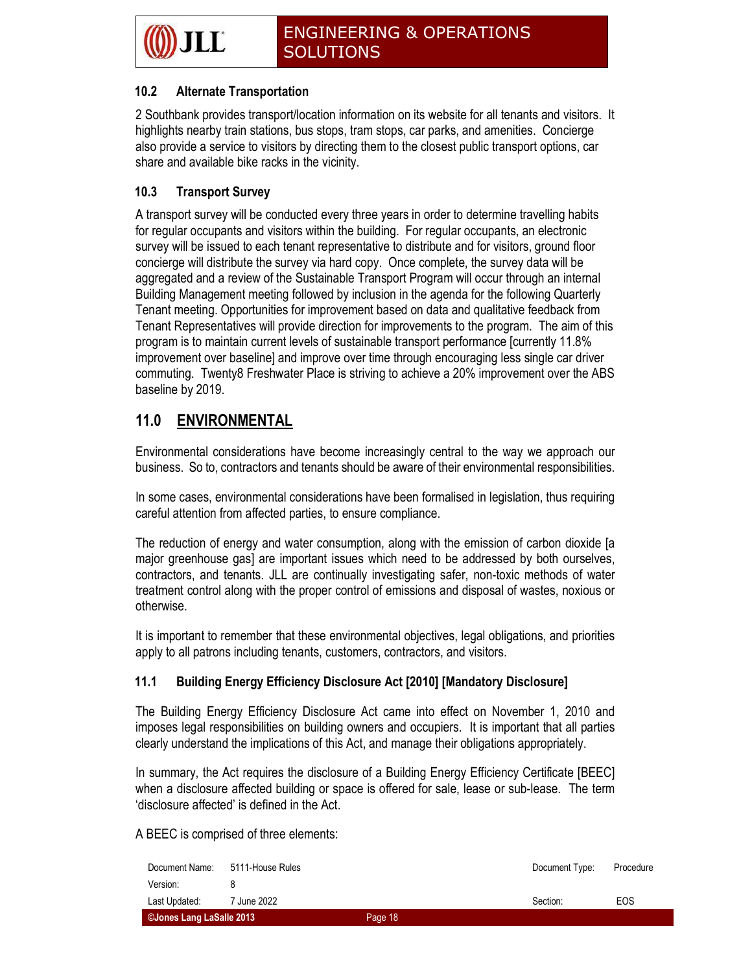#### 10.2 Alternate Transportation

2 Southbank provides transport/location information on its website for all tenants and visitors. It highlights nearby train stations, bus stops, tram stops, car parks, and amenities. Concierge also provide a service to visitors by directing them to the closest public transport options, car share and available bike racks in the vicinity.

#### 10.3 Transport Survey

A transport survey will be conducted every three years in order to determine travelling habits for regular occupants and visitors within the building. For regular occupants, an electronic survey will be issued to each tenant representative to distribute and for visitors, ground floor concierge will distribute the survey via hard copy. Once complete, the survey data will be aggregated and a review of the Sustainable Transport Program will occur through an internal Building Management meeting followed by inclusion in the agenda for the following Quarterly Tenant meeting. Opportunities for improvement based on data and qualitative feedback from Tenant Representatives will provide direction for improvements to the program. The aim of this program is to maintain current levels of sustainable transport performance [currently 11.8% improvement over baseline] and improve over time through encouraging less single car driver commuting. Twenty8 Freshwater Place is striving to achieve a 20% improvement over the ABS baseline by 2019.

### 11.0 ENVIRONMENTAL

Environmental considerations have become increasingly central to the way we approach our business. So to, contractors and tenants should be aware of their environmental responsibilities.

In some cases, environmental considerations have been formalised in legislation, thus requiring careful attention from affected parties, to ensure compliance.

The reduction of energy and water consumption, along with the emission of carbon dioxide [a major greenhouse gas] are important issues which need to be addressed by both ourselves, contractors, and tenants. JLL are continually investigating safer, non-toxic methods of water treatment control along with the proper control of emissions and disposal of wastes, noxious or otherwise.

It is important to remember that these environmental objectives, legal obligations, and priorities apply to all patrons including tenants, customers, contractors, and visitors.

#### 11.1 Building Energy Efficiency Disclosure Act [2010] [Mandatory Disclosure]

The Building Energy Efficiency Disclosure Act came into effect on November 1, 2010 and imposes legal responsibilities on building owners and occupiers. It is important that all parties clearly understand the implications of this Act, and manage their obligations appropriately.

In summary, the Act requires the disclosure of a Building Energy Efficiency Certificate [BEEC] when a disclosure affected building or space is offered for sale, lease or sub-lease. The term 'disclosure affected' is defined in the Act.

A BEEC is comprised of three elements:

| Document Name:           | 5111-House Rules |         | Document Type: | Procedure |
|--------------------------|------------------|---------|----------------|-----------|
| Version:                 |                  |         |                |           |
| Last Updated:            | 7 June 2022      |         | Section:       | EOS       |
| ©Jones Lang LaSalle 2013 |                  | Page 18 |                |           |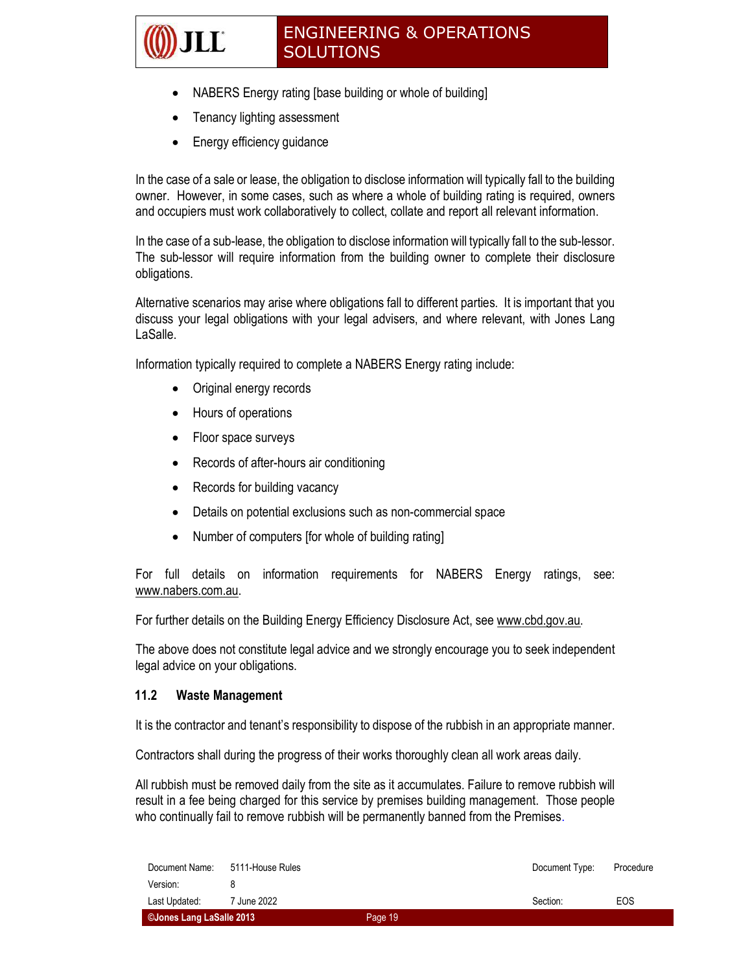- NABERS Energy rating [base building or whole of building]
- Tenancy lighting assessment
- Energy efficiency guidance

LĽ

In the case of a sale or lease, the obligation to disclose information will typically fall to the building owner. However, in some cases, such as where a whole of building rating is required, owners and occupiers must work collaboratively to collect, collate and report all relevant information.

In the case of a sub-lease, the obligation to disclose information will typically fall to the sub-lessor. The sub-lessor will require information from the building owner to complete their disclosure obligations.

Alternative scenarios may arise where obligations fall to different parties. It is important that you discuss your legal obligations with your legal advisers, and where relevant, with Jones Lang LaSalle.

Information typically required to complete a NABERS Energy rating include:

- Original energy records
- Hours of operations
- Floor space surveys
- Records of after-hours air conditioning
- Records for building vacancy
- Details on potential exclusions such as non-commercial space
- Number of computers [for whole of building rating]

For full details on information requirements for NABERS Energy ratings, see: www.nabers.com.au.

For further details on the Building Energy Efficiency Disclosure Act, see www.cbd.gov.au.

The above does not constitute legal advice and we strongly encourage you to seek independent legal advice on your obligations.

#### 11.2 Waste Management

It is the contractor and tenant's responsibility to dispose of the rubbish in an appropriate manner.

Contractors shall during the progress of their works thoroughly clean all work areas daily.

All rubbish must be removed daily from the site as it accumulates. Failure to remove rubbish will result in a fee being charged for this service by premises building management. Those people who continually fail to remove rubbish will be permanently banned from the Premises.

| ©Jones Lang LaSalle 2013 |                  | Page 19 |                |           |
|--------------------------|------------------|---------|----------------|-----------|
| Last Updated:            | 7 June 2022      |         | Section:       | EOS       |
| Version:                 |                  |         |                |           |
| Document Name:           | 5111-House Rules |         | Document Type: | Procedure |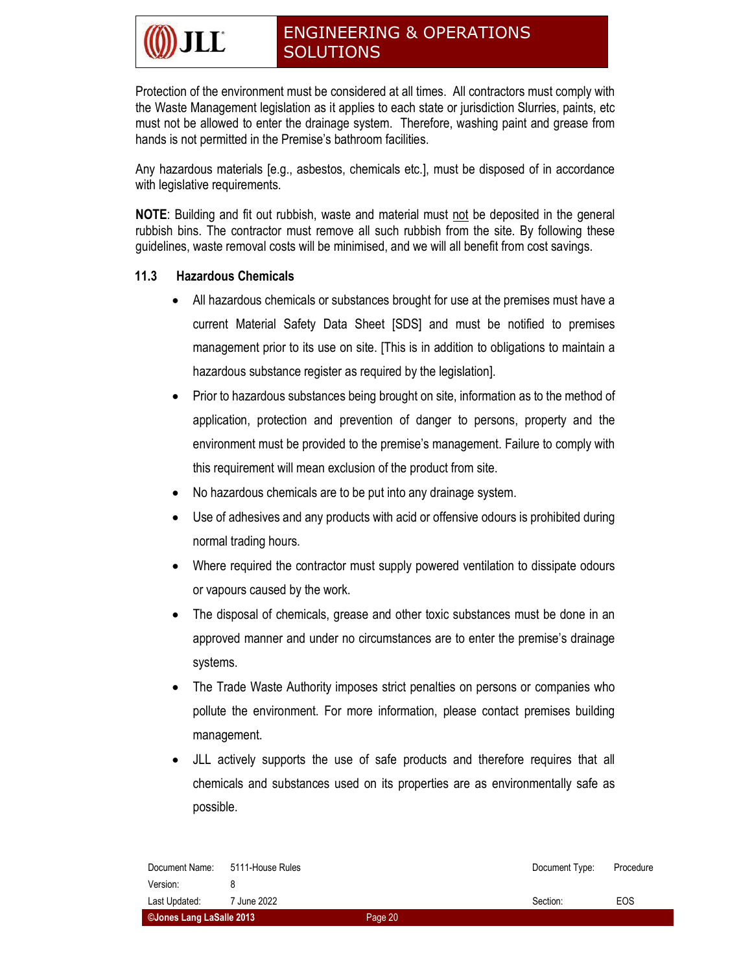Protection of the environment must be considered at all times. All contractors must comply with the Waste Management legislation as it applies to each state or jurisdiction Slurries, paints, etc must not be allowed to enter the drainage system. Therefore, washing paint and grease from hands is not permitted in the Premise's bathroom facilities.

Any hazardous materials [e.g., asbestos, chemicals etc.], must be disposed of in accordance with legislative requirements.

NOTE: Building and fit out rubbish, waste and material must not be deposited in the general rubbish bins. The contractor must remove all such rubbish from the site. By following these guidelines, waste removal costs will be minimised, and we will all benefit from cost savings.

#### 11.3 Hazardous Chemicals

- All hazardous chemicals or substances brought for use at the premises must have a current Material Safety Data Sheet [SDS] and must be notified to premises management prior to its use on site. [This is in addition to obligations to maintain a hazardous substance register as required by the legislation].
- Prior to hazardous substances being brought on site, information as to the method of application, protection and prevention of danger to persons, property and the environment must be provided to the premise's management. Failure to comply with this requirement will mean exclusion of the product from site.
- No hazardous chemicals are to be put into any drainage system.
- Use of adhesives and any products with acid or offensive odours is prohibited during normal trading hours.
- Where required the contractor must supply powered ventilation to dissipate odours or vapours caused by the work.
- The disposal of chemicals, grease and other toxic substances must be done in an approved manner and under no circumstances are to enter the premise's drainage systems.
- The Trade Waste Authority imposes strict penalties on persons or companies who pollute the environment. For more information, please contact premises building management.
- JLL actively supports the use of safe products and therefore requires that all chemicals and substances used on its properties are as environmentally safe as possible.

| ©Jones Lang LaSalle 2013 |                  | Page 20 |                |           |
|--------------------------|------------------|---------|----------------|-----------|
| Last Updated:            | 7 June 2022      |         | Section:       | EOS       |
| Version:                 |                  |         |                |           |
| Document Name:           | 5111-House Rules |         | Document Type: | Procedure |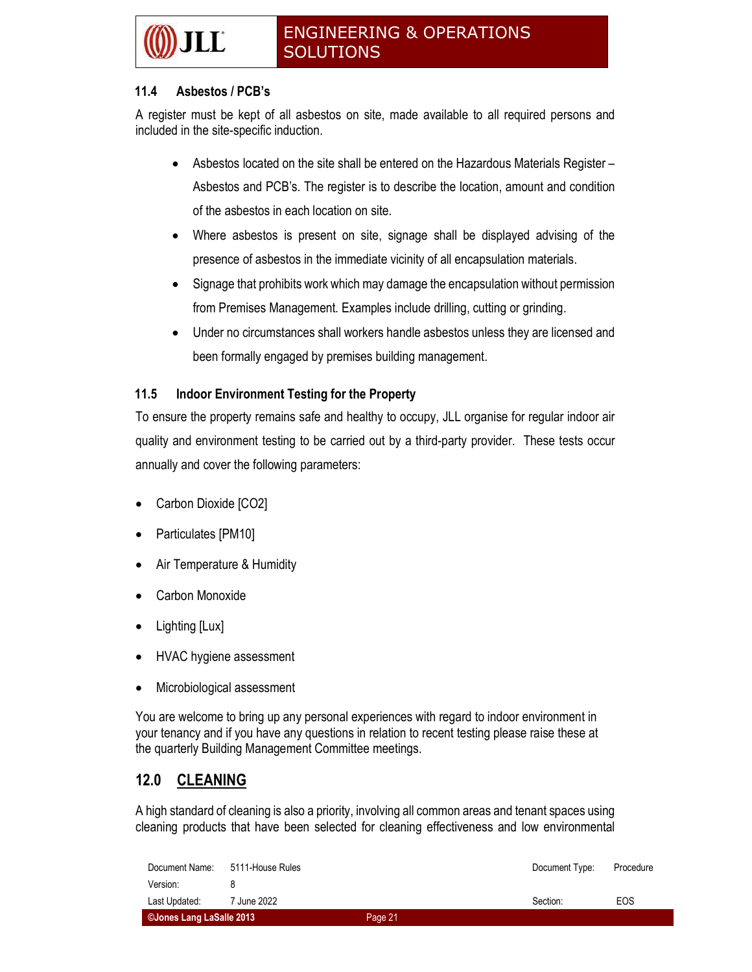#### 11.4 Asbestos / PCB's

A register must be kept of all asbestos on site, made available to all required persons and included in the site-specific induction.

- Asbestos located on the site shall be entered on the Hazardous Materials Register Asbestos and PCB's. The register is to describe the location, amount and condition of the asbestos in each location on site.
- Where asbestos is present on site, signage shall be displayed advising of the presence of asbestos in the immediate vicinity of all encapsulation materials.
- Signage that prohibits work which may damage the encapsulation without permission from Premises Management. Examples include drilling, cutting or grinding.
- Under no circumstances shall workers handle asbestos unless they are licensed and been formally engaged by premises building management.

#### 11.5 Indoor Environment Testing for the Property

To ensure the property remains safe and healthy to occupy, JLL organise for regular indoor air quality and environment testing to be carried out by a third-party provider. These tests occur annually and cover the following parameters:

- Carbon Dioxide [CO2]
- Particulates [PM10]
- Air Temperature & Humidity
- Carbon Monoxide
- Lighting [Lux]
- HVAC hygiene assessment
- Microbiological assessment

You are welcome to bring up any personal experiences with regard to indoor environment in your tenancy and if you have any questions in relation to recent testing please raise these at the quarterly Building Management Committee meetings.

### 12.0 CLEANING

A high standard of cleaning is also a priority, involving all common areas and tenant spaces using cleaning products that have been selected for cleaning effectiveness and low environmental

| ©Jones Lang LaSalle 2013 |                  | Page 21 |                |           |
|--------------------------|------------------|---------|----------------|-----------|
| Last Updated:            | 7 June 2022      |         | Section:       | EOS       |
| Version:                 |                  |         |                |           |
| Document Name:           | 5111-House Rules |         | Document Type: | Procedure |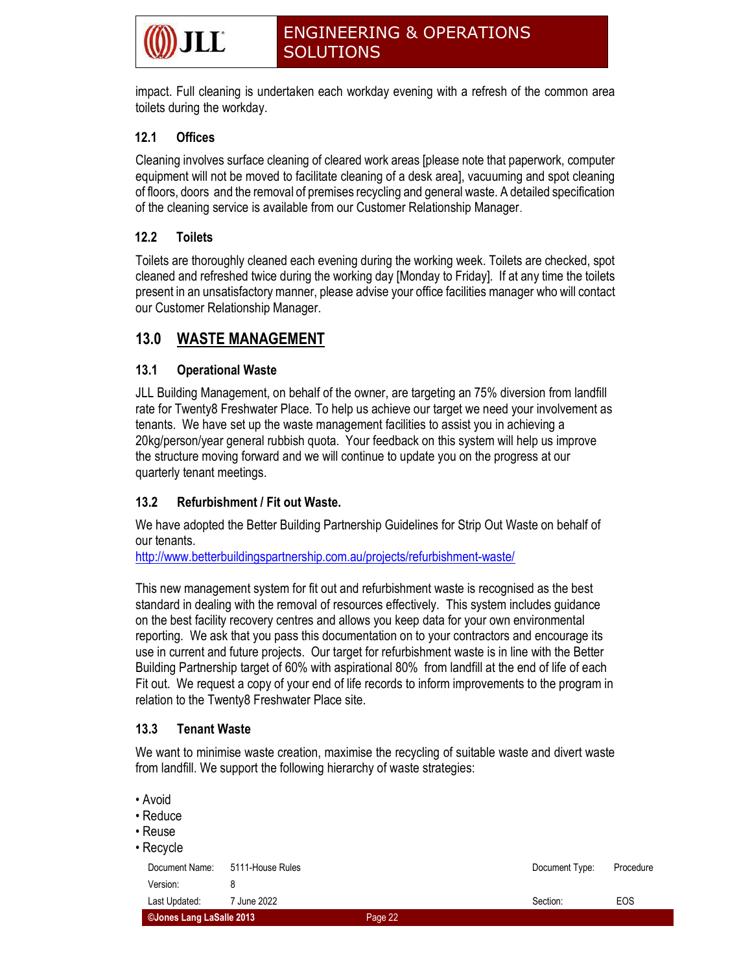impact. Full cleaning is undertaken each workday evening with a refresh of the common area toilets during the workday.

#### 12.1 Offices

Cleaning involves surface cleaning of cleared work areas [please note that paperwork, computer equipment will not be moved to facilitate cleaning of a desk area], vacuuming and spot cleaning of floors, doors and the removal of premises recycling and general waste. A detailed specification of the cleaning service is available from our Customer Relationship Manager.

#### 12.2 Toilets

Toilets are thoroughly cleaned each evening during the working week. Toilets are checked, spot cleaned and refreshed twice during the working day [Monday to Friday]. If at any time the toilets present in an unsatisfactory manner, please advise your office facilities manager who will contact our Customer Relationship Manager.

### 13.0 WASTE MANAGEMENT

#### 13.1 Operational Waste

JLL Building Management, on behalf of the owner, are targeting an 75% diversion from landfill rate for Twenty8 Freshwater Place. To help us achieve our target we need your involvement as tenants. We have set up the waste management facilities to assist you in achieving a 20kg/person/year general rubbish quota. Your feedback on this system will help us improve the structure moving forward and we will continue to update you on the progress at our quarterly tenant meetings.

#### 13.2 Refurbishment / Fit out Waste.

We have adopted the Better Building Partnership Guidelines for Strip Out Waste on behalf of our tenants.

http://www.betterbuildingspartnership.com.au/projects/refurbishment-waste/

This new management system for fit out and refurbishment waste is recognised as the best standard in dealing with the removal of resources effectively. This system includes guidance on the best facility recovery centres and allows you keep data for your own environmental reporting. We ask that you pass this documentation on to your contractors and encourage its use in current and future projects. Our target for refurbishment waste is in line with the Better Building Partnership target of 60% with aspirational 80% from landfill at the end of life of each Fit out. We request a copy of your end of life records to inform improvements to the program in relation to the Twenty8 Freshwater Place site.

#### 13.3 Tenant Waste

We want to minimise waste creation, maximise the recycling of suitable waste and divert waste from landfill. We support the following hierarchy of waste strategies:

| • Avoid<br>• Reduce<br>• Reuse<br>• Recycle |                  |         |                |            |
|---------------------------------------------|------------------|---------|----------------|------------|
| Document Name:                              | 5111-House Rules |         | Document Type: | Procedure  |
| Version:                                    | 8                |         |                |            |
| Last Updated:                               | 7 June 2022      |         | Section:       | <b>EOS</b> |
| ©Jones Lang LaSalle 2013                    |                  | Page 22 |                |            |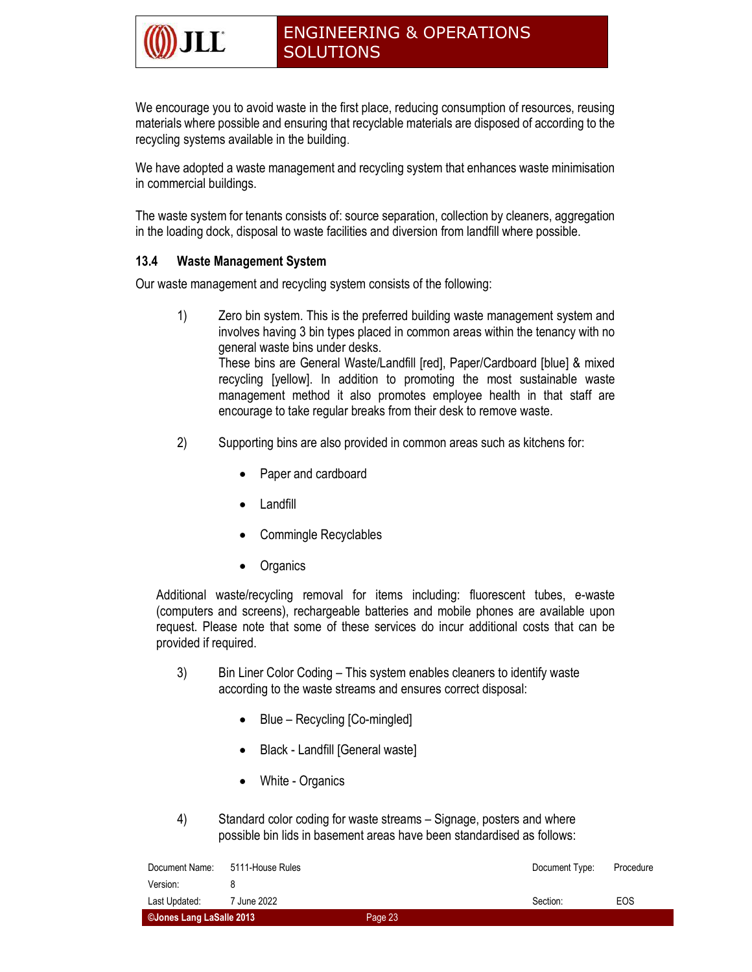We encourage you to avoid waste in the first place, reducing consumption of resources, reusing materials where possible and ensuring that recyclable materials are disposed of according to the recycling systems available in the building.

We have adopted a waste management and recycling system that enhances waste minimisation in commercial buildings.

The waste system for tenants consists of: source separation, collection by cleaners, aggregation in the loading dock, disposal to waste facilities and diversion from landfill where possible.

#### 13.4 Waste Management System

Our waste management and recycling system consists of the following:

 1) Zero bin system. This is the preferred building waste management system and involves having 3 bin types placed in common areas within the tenancy with no general waste bins under desks.

These bins are General Waste/Landfill [red], Paper/Cardboard [blue] & mixed recycling [yellow]. In addition to promoting the most sustainable waste management method it also promotes employee health in that staff are encourage to take regular breaks from their desk to remove waste.

- 2) Supporting bins are also provided in common areas such as kitchens for:
	- Paper and cardboard
	- Landfill
	- Commingle Recyclables
	- **Organics**

Additional waste/recycling removal for items including: fluorescent tubes, e-waste (computers and screens), rechargeable batteries and mobile phones are available upon request. Please note that some of these services do incur additional costs that can be provided if required.

- 3) Bin Liner Color Coding This system enables cleaners to identify waste according to the waste streams and ensures correct disposal:
	- Blue Recycling [Co-mingled]
	- Black Landfill [General waste]
	- White Organics
- 4) Standard color coding for waste streams Signage, posters and where possible bin lids in basement areas have been standardised as follows:

| Document Name:           | 5111-House Rules |         | Document Type: | Procedure |
|--------------------------|------------------|---------|----------------|-----------|
| Version:                 |                  |         |                |           |
| Last Updated:            | 7 June 2022      |         | Section:       | EOS       |
| ©Jones Lang LaSalle 2013 |                  | Page 23 |                |           |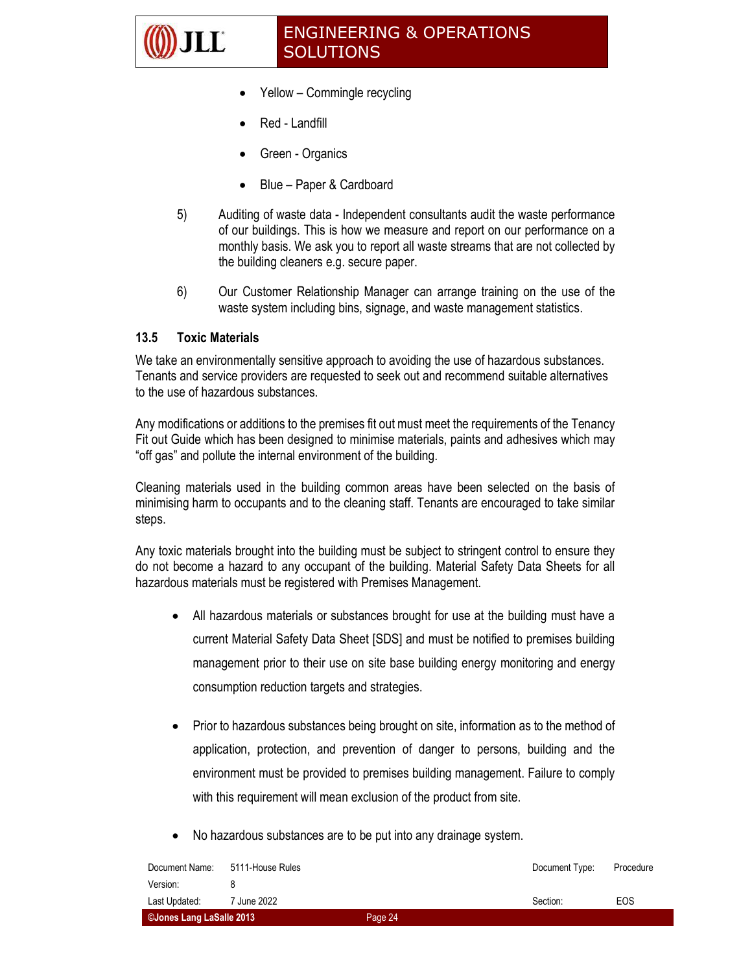

- Yellow Commingle recycling
- Red Landfill
- Green Organics
- Blue Paper & Cardboard
- 5) Auditing of waste data Independent consultants audit the waste performance of our buildings. This is how we measure and report on our performance on a monthly basis. We ask you to report all waste streams that are not collected by the building cleaners e.g. secure paper.
- 6) Our Customer Relationship Manager can arrange training on the use of the waste system including bins, signage, and waste management statistics.

#### 13.5 Toxic Materials

We take an environmentally sensitive approach to avoiding the use of hazardous substances. Tenants and service providers are requested to seek out and recommend suitable alternatives to the use of hazardous substances.

Any modifications or additions to the premises fit out must meet the requirements of the Tenancy Fit out Guide which has been designed to minimise materials, paints and adhesives which may "off gas" and pollute the internal environment of the building.

Cleaning materials used in the building common areas have been selected on the basis of minimising harm to occupants and to the cleaning staff. Tenants are encouraged to take similar steps.

Any toxic materials brought into the building must be subject to stringent control to ensure they do not become a hazard to any occupant of the building. Material Safety Data Sheets for all hazardous materials must be registered with Premises Management.

- All hazardous materials or substances brought for use at the building must have a current Material Safety Data Sheet [SDS] and must be notified to premises building management prior to their use on site base building energy monitoring and energy consumption reduction targets and strategies.
- Prior to hazardous substances being brought on site, information as to the method of application, protection, and prevention of danger to persons, building and the environment must be provided to premises building management. Failure to comply with this requirement will mean exclusion of the product from site.
- No hazardous substances are to be put into any drainage system.

| Document Name:           | 5111-House Rules |         | Document Type: | Procedure |
|--------------------------|------------------|---------|----------------|-----------|
| Version:                 |                  |         |                |           |
| Last Updated:            | 7 June 2022      |         | Section:       | EOS       |
| ©Jones Lang LaSalle 2013 |                  | Page 24 |                |           |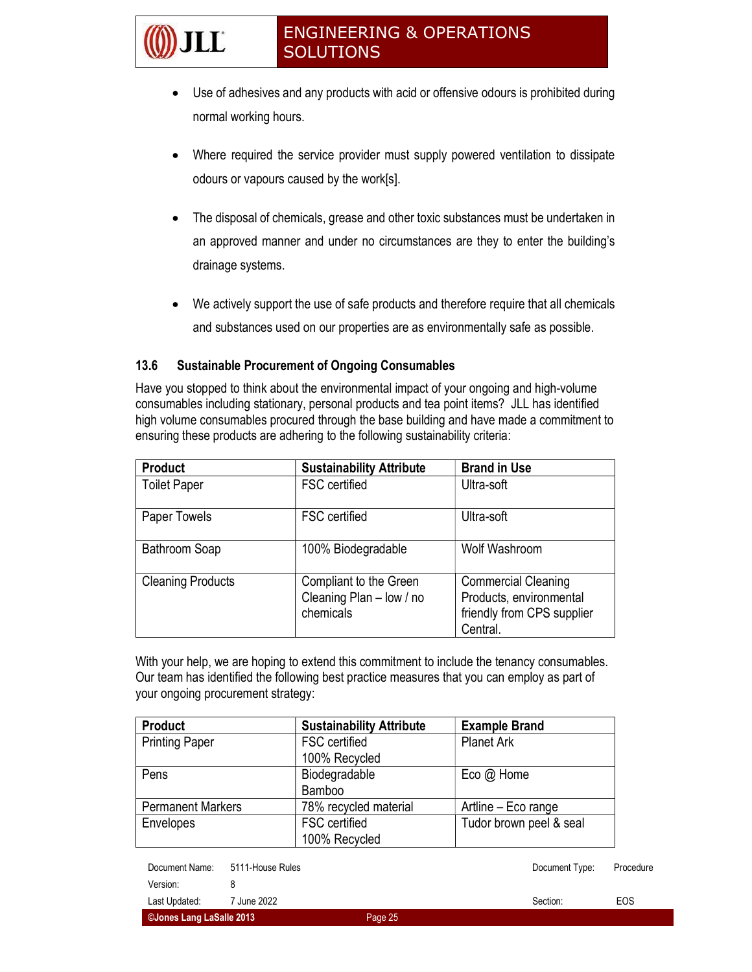- Use of adhesives and any products with acid or offensive odours is prohibited during normal working hours.
- Where required the service provider must supply powered ventilation to dissipate odours or vapours caused by the work[s].
- The disposal of chemicals, grease and other toxic substances must be undertaken in an approved manner and under no circumstances are they to enter the building's drainage systems.
- We actively support the use of safe products and therefore require that all chemicals and substances used on our properties are as environmentally safe as possible.

#### 13.6 Sustainable Procurement of Ongoing Consumables

 $\overline{\bf L}$ 

Have you stopped to think about the environmental impact of your ongoing and high-volume consumables including stationary, personal products and tea point items? JLL has identified high volume consumables procured through the base building and have made a commitment to ensuring these products are adhering to the following sustainability criteria:

| <b>Product</b>           | <b>Sustainability Attribute</b>                                 | <b>Brand in Use</b>                                                                             |
|--------------------------|-----------------------------------------------------------------|-------------------------------------------------------------------------------------------------|
| <b>Toilet Paper</b>      | FSC certified                                                   | Ultra-soft                                                                                      |
| Paper Towels             | <b>FSC</b> certified                                            | Ultra-soft                                                                                      |
| Bathroom Soap            | 100% Biodegradable                                              | Wolf Washroom                                                                                   |
| <b>Cleaning Products</b> | Compliant to the Green<br>Cleaning Plan - low / no<br>chemicals | <b>Commercial Cleaning</b><br>Products, environmental<br>friendly from CPS supplier<br>Central. |

With your help, we are hoping to extend this commitment to include the tenancy consumables. Our team has identified the following best practice measures that you can employ as part of your ongoing procurement strategy:

| <b>Product</b>           | <b>Sustainability Attribute</b> | <b>Example Brand</b>    |
|--------------------------|---------------------------------|-------------------------|
| <b>Printing Paper</b>    | <b>FSC</b> certified            | <b>Planet Ark</b>       |
|                          | 100% Recycled                   |                         |
| Pens                     | Biodegradable                   | Eco $@$ Home            |
|                          | Bamboo                          |                         |
| <b>Permanent Markers</b> | 78% recycled material           | Artline - Eco range     |
| Envelopes                | <b>FSC</b> certified            | Tudor brown peel & seal |
|                          | 100% Recycled                   |                         |

| CJones Lang LaSalle 2013 |                        | Page 25 |                |           |
|--------------------------|------------------------|---------|----------------|-----------|
| Last Updated:            | <sup>7</sup> June 2022 |         | Section:       | EOS       |
| Version:                 |                        |         |                |           |
| Document Name:           | 5111-House Rules       |         | Document Type: | Procedure |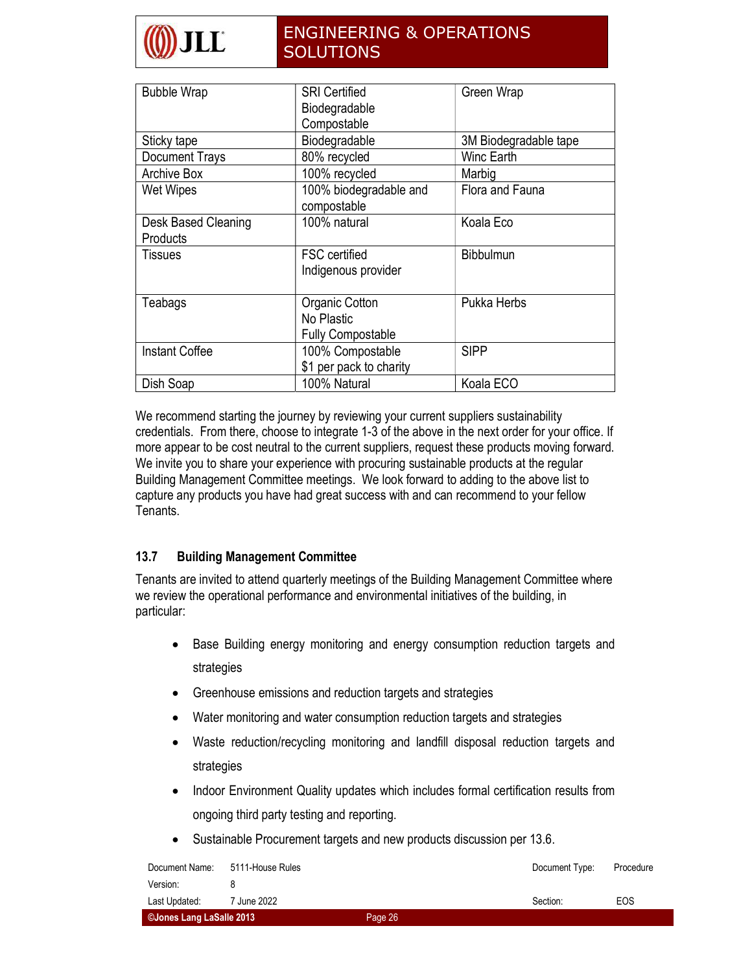| <b>Bubble Wrap</b>              | <b>SRI Certified</b><br>Biodegradable<br>Compostable     | Green Wrap            |
|---------------------------------|----------------------------------------------------------|-----------------------|
| Sticky tape                     | Biodegradable                                            | 3M Biodegradable tape |
| <b>Document Trays</b>           | 80% recycled                                             | Winc Earth            |
| Archive Box                     | 100% recycled                                            | Marbig                |
| <b>Wet Wipes</b>                | 100% biodegradable and<br>compostable                    | Flora and Fauna       |
| Desk Based Cleaning<br>Products | 100% natural                                             | Koala Eco             |
| <b>Tissues</b>                  | <b>FSC</b> certified<br>Indigenous provider              | <b>Bibbulmun</b>      |
| Teabags                         | Organic Cotton<br>No Plastic<br><b>Fully Compostable</b> | Pukka Herbs           |
| <b>Instant Coffee</b>           | 100% Compostable<br>\$1 per pack to charity              | <b>SIPP</b>           |
| Dish Soap                       | 100% Natural                                             | Koala ECO             |

We recommend starting the journey by reviewing your current suppliers sustainability credentials. From there, choose to integrate 1-3 of the above in the next order for your office. If more appear to be cost neutral to the current suppliers, request these products moving forward. We invite you to share your experience with procuring sustainable products at the regular Building Management Committee meetings. We look forward to adding to the above list to capture any products you have had great success with and can recommend to your fellow Tenants.

#### 13.7 Building Management Committee

Tenants are invited to attend quarterly meetings of the Building Management Committee where we review the operational performance and environmental initiatives of the building, in particular:

- Base Building energy monitoring and energy consumption reduction targets and strategies
- Greenhouse emissions and reduction targets and strategies
- Water monitoring and water consumption reduction targets and strategies
- Waste reduction/recycling monitoring and landfill disposal reduction targets and strategies
- Indoor Environment Quality updates which includes formal certification results from ongoing third party testing and reporting.
- Sustainable Procurement targets and new products discussion per 13.6.

| Document Name:           | 5111-House Rules |         | Document Type: | Procedure |
|--------------------------|------------------|---------|----------------|-----------|
| Version:                 |                  |         |                |           |
| Last Updated:            | 7 June 2022      |         | Section:       | EOS       |
| CJones Lang LaSalle 2013 |                  | Page 26 |                |           |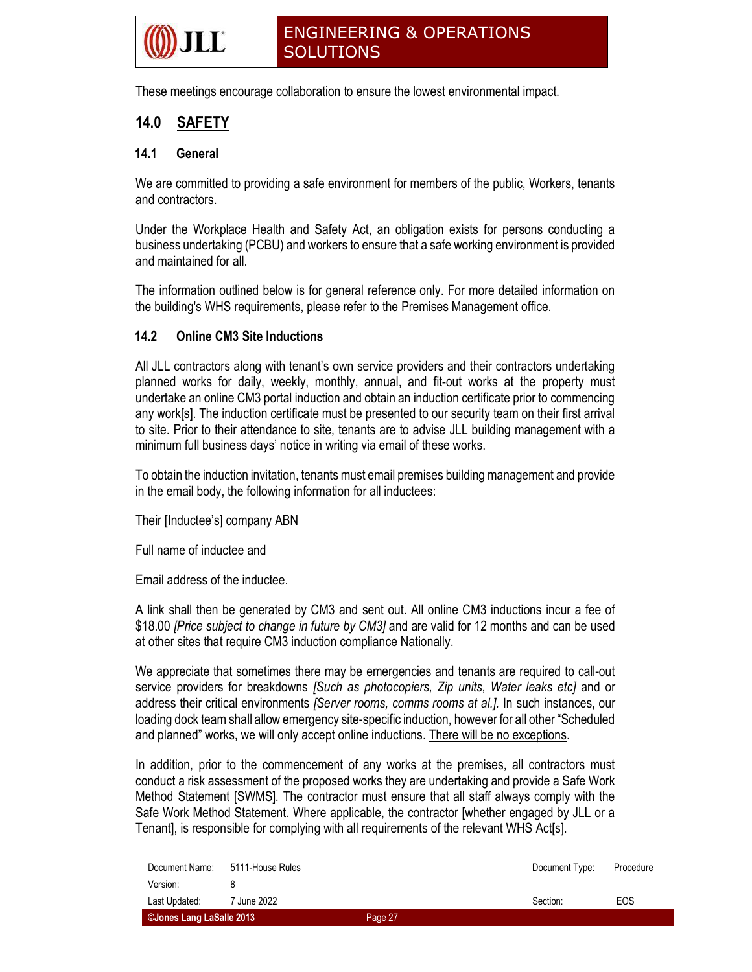

These meetings encourage collaboration to ensure the lowest environmental impact.

### 14.0 SAFETY

#### 14.1 General

We are committed to providing a safe environment for members of the public, Workers, tenants and contractors.

Under the Workplace Health and Safety Act, an obligation exists for persons conducting a business undertaking (PCBU) and workers to ensure that a safe working environment is provided and maintained for all.

The information outlined below is for general reference only. For more detailed information on the building's WHS requirements, please refer to the Premises Management office.

#### 14.2 Online CM3 Site Inductions

All JLL contractors along with tenant's own service providers and their contractors undertaking planned works for daily, weekly, monthly, annual, and fit-out works at the property must undertake an online CM3 portal induction and obtain an induction certificate prior to commencing any work[s]. The induction certificate must be presented to our security team on their first arrival to site. Prior to their attendance to site, tenants are to advise JLL building management with a minimum full business days' notice in writing via email of these works.

To obtain the induction invitation, tenants must email premises building management and provide in the email body, the following information for all inductees:

Their [Inductee's] company ABN

Full name of inductee and

Email address of the inductee.

A link shall then be generated by CM3 and sent out. All online CM3 inductions incur a fee of \$18.00 *[Price subject to change in future by CM3]* and are valid for 12 months and can be used at other sites that require CM3 induction compliance Nationally.

We appreciate that sometimes there may be emergencies and tenants are required to call-out service providers for breakdowns (Such as photocopiers, Zip units, Water leaks etc) and or address their critical environments *[Server rooms, comms rooms at al.]*. In such instances, our loading dock team shall allow emergency site-specific induction, however for all other "Scheduled and planned" works, we will only accept online inductions. There will be no exceptions.

In addition, prior to the commencement of any works at the premises, all contractors must conduct a risk assessment of the proposed works they are undertaking and provide a Safe Work Method Statement [SWMS]. The contractor must ensure that all staff always comply with the Safe Work Method Statement. Where applicable, the contractor [whether engaged by JLL or a Tenant], is responsible for complying with all requirements of the relevant WHS Act[s].

| ©Jones Lang LaSalle 2013 |                                 | Page 27 |                |           |
|--------------------------|---------------------------------|---------|----------------|-----------|
| Last Updated:            | 7 June 2022                     |         | Section:       | EOS       |
| Version:                 |                                 |         |                |           |
|                          | Document Name: 5111-House Rules |         | Document Type: | Procedure |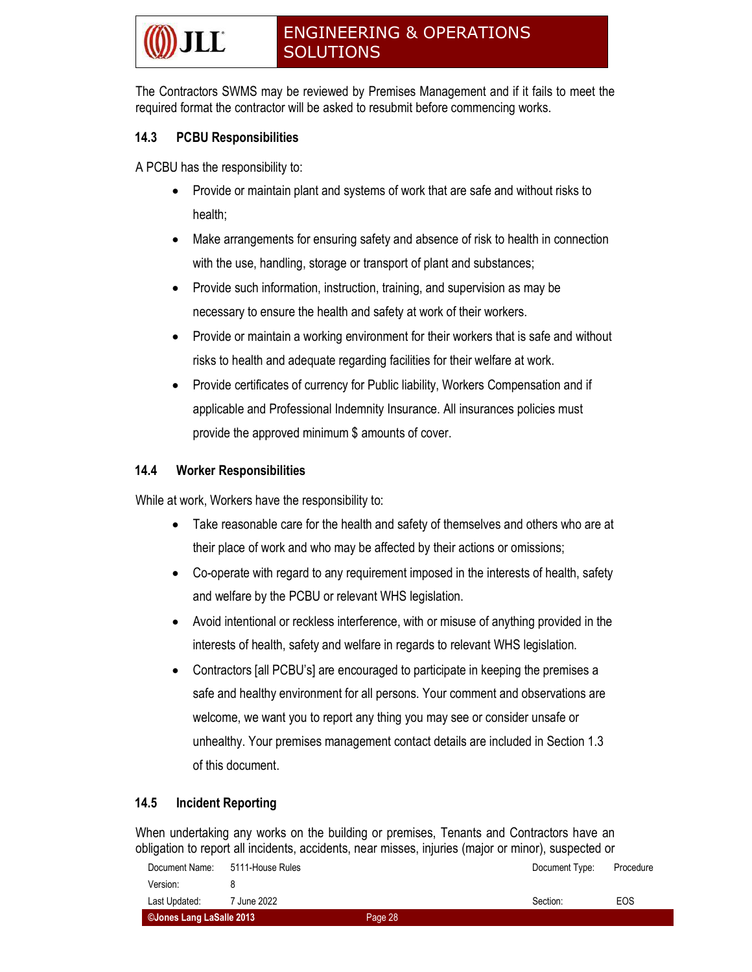The Contractors SWMS may be reviewed by Premises Management and if it fails to meet the required format the contractor will be asked to resubmit before commencing works.

#### 14.3 PCBU Responsibilities

A PCBU has the responsibility to:

- Provide or maintain plant and systems of work that are safe and without risks to health;
- Make arrangements for ensuring safety and absence of risk to health in connection with the use, handling, storage or transport of plant and substances;
- Provide such information, instruction, training, and supervision as may be necessary to ensure the health and safety at work of their workers.
- Provide or maintain a working environment for their workers that is safe and without risks to health and adequate regarding facilities for their welfare at work.
- Provide certificates of currency for Public liability, Workers Compensation and if applicable and Professional Indemnity Insurance. All insurances policies must provide the approved minimum \$ amounts of cover.

#### 14.4 Worker Responsibilities

While at work, Workers have the responsibility to:

- Take reasonable care for the health and safety of themselves and others who are at their place of work and who may be affected by their actions or omissions;
- Co-operate with regard to any requirement imposed in the interests of health, safety and welfare by the PCBU or relevant WHS legislation.
- Avoid intentional or reckless interference, with or misuse of anything provided in the interests of health, safety and welfare in regards to relevant WHS legislation.
- Contractors [all PCBU's] are encouraged to participate in keeping the premises a safe and healthy environment for all persons. Your comment and observations are welcome, we want you to report any thing you may see or consider unsafe or unhealthy. Your premises management contact details are included in Section 1.3 of this document.

#### 14.5 Incident Reporting

When undertaking any works on the building or premises, Tenants and Contractors have an obligation to report all incidents, accidents, near misses, injuries (major or minor), suspected or

| ©Jones Lang LaSalle 2013 |                  | Page 28 |                |           |
|--------------------------|------------------|---------|----------------|-----------|
| Last Updated:            | 7 June 2022      |         | Section:       | EOS       |
| Version:                 |                  |         |                |           |
| Document Name:           | 5111-House Rules |         | Document Type: | Procedure |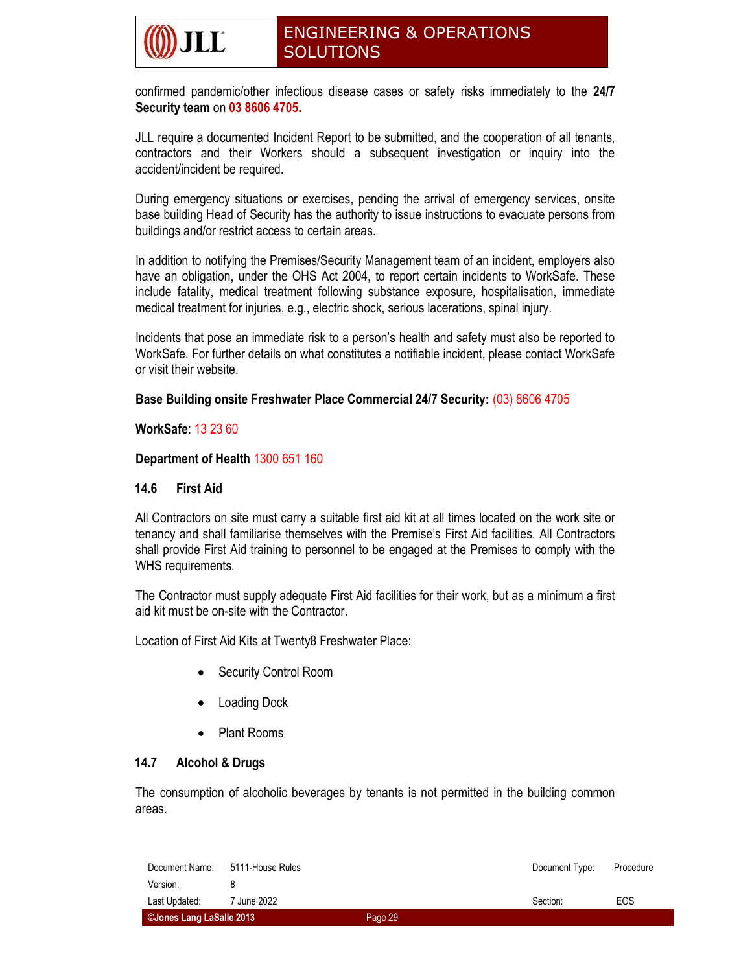confirmed pandemic/other infectious disease cases or safety risks immediately to the 24/7 Security team on 03 8606 4705.

JLL require a documented Incident Report to be submitted, and the cooperation of all tenants, contractors and their Workers should a subsequent investigation or inquiry into the accident/incident be required.

During emergency situations or exercises, pending the arrival of emergency services, onsite base building Head of Security has the authority to issue instructions to evacuate persons from buildings and/or restrict access to certain areas.

In addition to notifying the Premises/Security Management team of an incident, employers also have an obligation, under the OHS Act 2004, to report certain incidents to WorkSafe. These include fatality, medical treatment following substance exposure, hospitalisation, immediate medical treatment for injuries, e.g., electric shock, serious lacerations, spinal injury.

Incidents that pose an immediate risk to a person's health and safety must also be reported to WorkSafe. For further details on what constitutes a notifiable incident, please contact WorkSafe or visit their website.

#### Base Building onsite Freshwater Place Commercial 24/7 Security: (03) 8606 4705

#### WorkSafe: 13 23 60

#### Department of Health 1300 651 160

#### 14.6 First Aid

All Contractors on site must carry a suitable first aid kit at all times located on the work site or tenancy and shall familiarise themselves with the Premise's First Aid facilities. All Contractors shall provide First Aid training to personnel to be engaged at the Premises to comply with the WHS requirements.

The Contractor must supply adequate First Aid facilities for their work, but as a minimum a first aid kit must be on-site with the Contractor.

Location of First Aid Kits at Twenty8 Freshwater Place:

- Security Control Room
- Loading Dock
- Plant Rooms

#### 14.7 Alcohol & Drugs

The consumption of alcoholic beverages by tenants is not permitted in the building common areas.

| ©Jones Lang LaSalle 2013 |                  | Page 29 |                |           |
|--------------------------|------------------|---------|----------------|-----------|
| Last Updated:            | 7 June 2022      |         | Section:       | EOS       |
| Version:                 |                  |         |                |           |
| Document Name:           | 5111-House Rules |         | Document Type: | Procedure |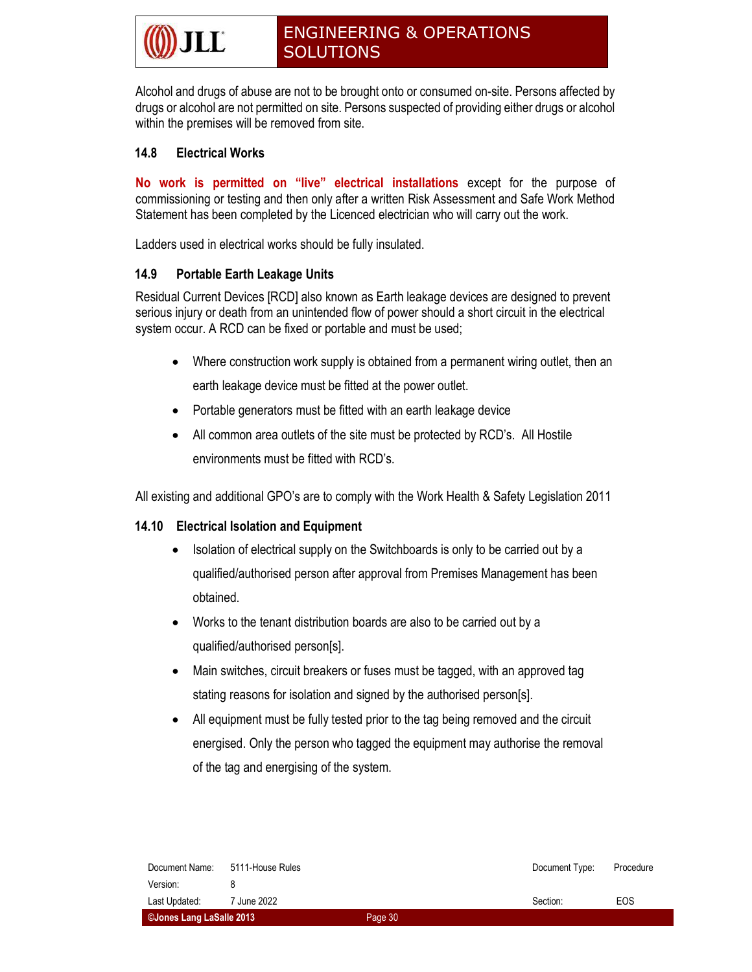Alcohol and drugs of abuse are not to be brought onto or consumed on-site. Persons affected by drugs or alcohol are not permitted on site. Persons suspected of providing either drugs or alcohol within the premises will be removed from site.

#### 14.8 Electrical Works

No work is permitted on "live" electrical installations except for the purpose of commissioning or testing and then only after a written Risk Assessment and Safe Work Method Statement has been completed by the Licenced electrician who will carry out the work.

Ladders used in electrical works should be fully insulated.

#### 14.9 Portable Earth Leakage Units

Residual Current Devices [RCD] also known as Earth leakage devices are designed to prevent serious injury or death from an unintended flow of power should a short circuit in the electrical system occur. A RCD can be fixed or portable and must be used;

- Where construction work supply is obtained from a permanent wiring outlet, then an earth leakage device must be fitted at the power outlet.
- Portable generators must be fitted with an earth leakage device
- All common area outlets of the site must be protected by RCD's. All Hostile environments must be fitted with RCD's.

All existing and additional GPO's are to comply with the Work Health & Safety Legislation 2011

#### 14.10 Electrical Isolation and Equipment

- Isolation of electrical supply on the Switchboards is only to be carried out by a qualified/authorised person after approval from Premises Management has been obtained.
- Works to the tenant distribution boards are also to be carried out by a qualified/authorised person[s].
- Main switches, circuit breakers or fuses must be tagged, with an approved tag stating reasons for isolation and signed by the authorised person[s].
- All equipment must be fully tested prior to the tag being removed and the circuit energised. Only the person who tagged the equipment may authorise the removal of the tag and energising of the system.

| Document Name:           | 5111-House Rules |         | Document Type: | Procedure |
|--------------------------|------------------|---------|----------------|-----------|
| Version:                 |                  |         |                |           |
| Last Updated:            | 7 June 2022      |         | Section:       | EOS       |
| ©Jones Lang LaSalle 2013 |                  | Page 30 |                |           |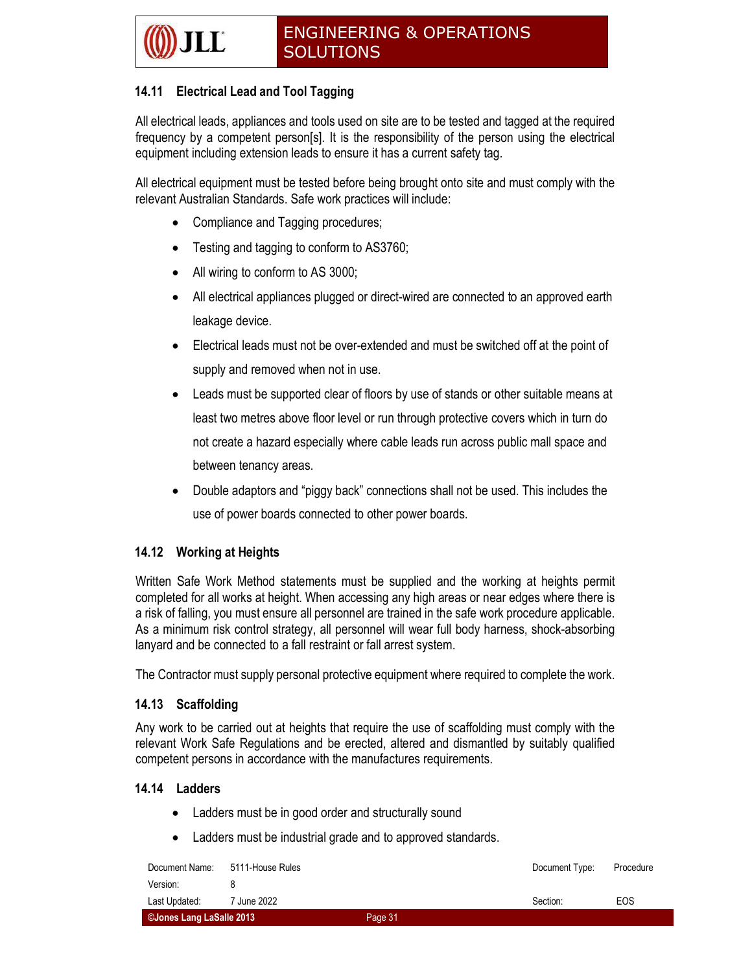#### 14.11 Electrical Lead and Tool Tagging

All electrical leads, appliances and tools used on site are to be tested and tagged at the required frequency by a competent person[s]. It is the responsibility of the person using the electrical equipment including extension leads to ensure it has a current safety tag.

All electrical equipment must be tested before being brought onto site and must comply with the relevant Australian Standards. Safe work practices will include:

- Compliance and Tagging procedures;
- Testing and tagging to conform to AS3760;
- All wiring to conform to AS 3000;
- All electrical appliances plugged or direct-wired are connected to an approved earth leakage device.
- Electrical leads must not be over-extended and must be switched off at the point of supply and removed when not in use.
- Leads must be supported clear of floors by use of stands or other suitable means at least two metres above floor level or run through protective covers which in turn do not create a hazard especially where cable leads run across public mall space and between tenancy areas.
- Double adaptors and "piggy back" connections shall not be used. This includes the use of power boards connected to other power boards.

#### 14.12 Working at Heights

Written Safe Work Method statements must be supplied and the working at heights permit completed for all works at height. When accessing any high areas or near edges where there is a risk of falling, you must ensure all personnel are trained in the safe work procedure applicable. As a minimum risk control strategy, all personnel will wear full body harness, shock-absorbing lanyard and be connected to a fall restraint or fall arrest system.

The Contractor must supply personal protective equipment where required to complete the work.

#### 14.13 Scaffolding

Any work to be carried out at heights that require the use of scaffolding must comply with the relevant Work Safe Regulations and be erected, altered and dismantled by suitably qualified competent persons in accordance with the manufactures requirements.

#### 14.14 Ladders

- Ladders must be in good order and structurally sound
- Ladders must be industrial grade and to approved standards.

| Document Name:           | 5111-House Rules |         | Document Type: | Procedure |
|--------------------------|------------------|---------|----------------|-----------|
| Version:                 |                  |         |                |           |
| Last Updated:            | 7 June 2022      |         | Section:       | EOS       |
| ©Jones Lang LaSalle 2013 |                  | Page 31 |                |           |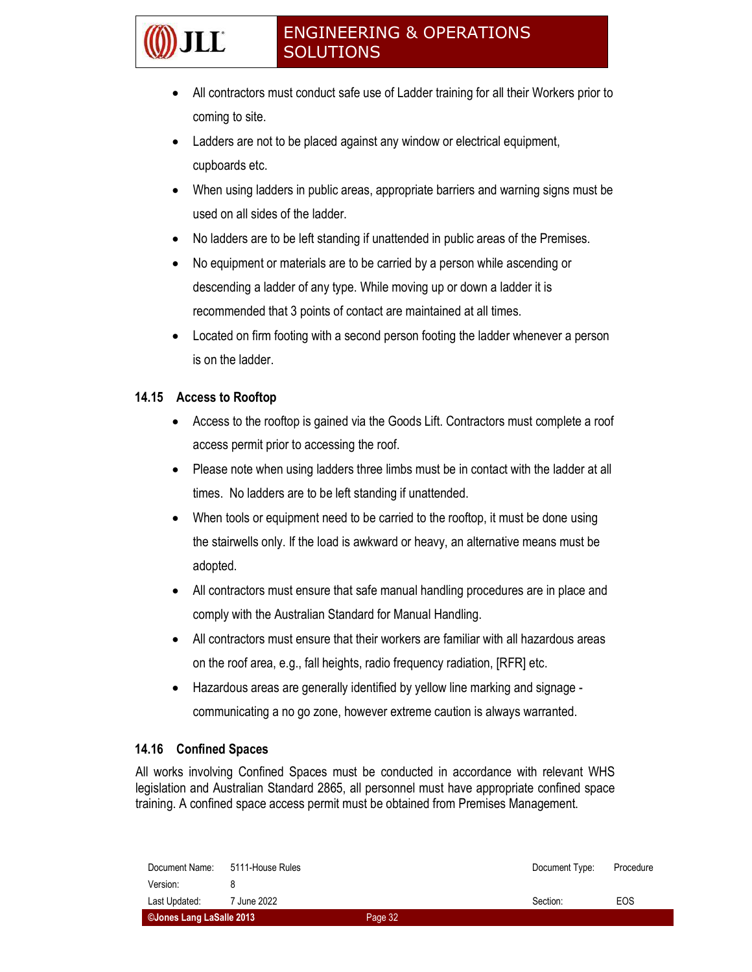- All contractors must conduct safe use of Ladder training for all their Workers prior to coming to site.
- Ladders are not to be placed against any window or electrical equipment, cupboards etc.
- When using ladders in public areas, appropriate barriers and warning signs must be used on all sides of the ladder.
- No ladders are to be left standing if unattended in public areas of the Premises.
- No equipment or materials are to be carried by a person while ascending or descending a ladder of any type. While moving up or down a ladder it is recommended that 3 points of contact are maintained at all times.
- Located on firm footing with a second person footing the ladder whenever a person is on the ladder.

#### 14.15 Access to Rooftop

- Access to the rooftop is gained via the Goods Lift. Contractors must complete a roof access permit prior to accessing the roof.
- Please note when using ladders three limbs must be in contact with the ladder at all times. No ladders are to be left standing if unattended.
- When tools or equipment need to be carried to the rooftop, it must be done using the stairwells only. If the load is awkward or heavy, an alternative means must be adopted.
- All contractors must ensure that safe manual handling procedures are in place and comply with the Australian Standard for Manual Handling.
- All contractors must ensure that their workers are familiar with all hazardous areas on the roof area, e.g., fall heights, radio frequency radiation, [RFR] etc.
- Hazardous areas are generally identified by yellow line marking and signage communicating a no go zone, however extreme caution is always warranted.

#### 14.16 Confined Spaces

All works involving Confined Spaces must be conducted in accordance with relevant WHS legislation and Australian Standard 2865, all personnel must have appropriate confined space training. A confined space access permit must be obtained from Premises Management.

| Document Name:           | 5111-House Rules |         | Document Type: | Procedure |
|--------------------------|------------------|---------|----------------|-----------|
| Version:                 |                  |         |                |           |
| Last Updated:            | 7 June 2022      |         | Section:       | EOS       |
| ©Jones Lang LaSalle 2013 |                  | Page 32 |                |           |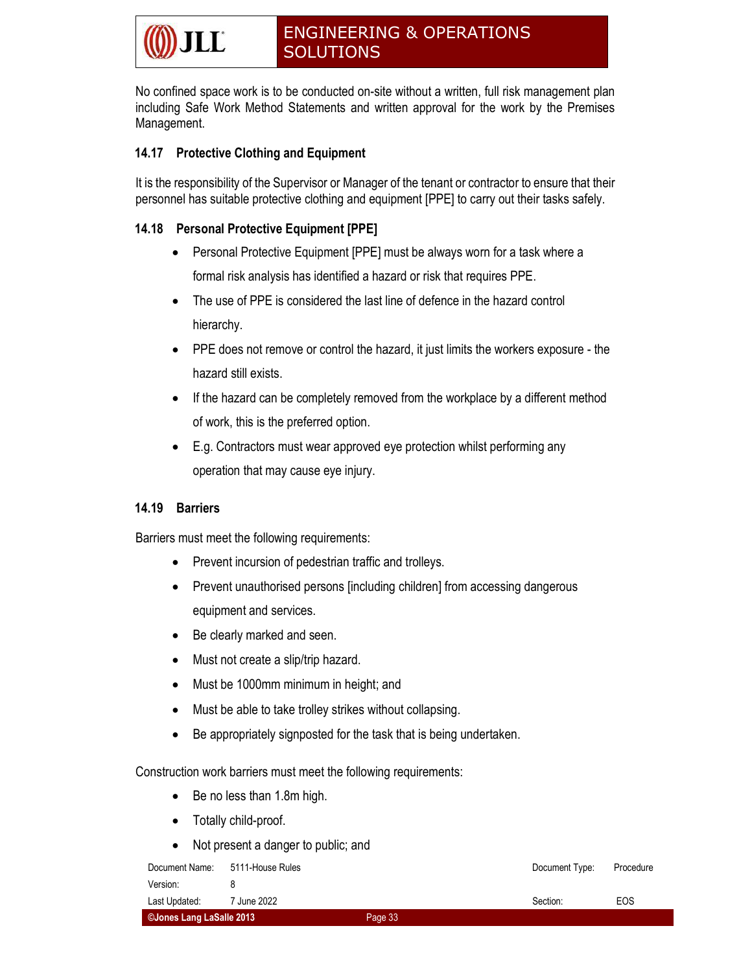No confined space work is to be conducted on-site without a written, full risk management plan including Safe Work Method Statements and written approval for the work by the Premises Management.

#### 14.17 Protective Clothing and Equipment

It is the responsibility of the Supervisor or Manager of the tenant or contractor to ensure that their personnel has suitable protective clothing and equipment [PPE] to carry out their tasks safely.

#### 14.18 Personal Protective Equipment [PPE]

- Personal Protective Equipment [PPE] must be always worn for a task where a formal risk analysis has identified a hazard or risk that requires PPE.
- The use of PPE is considered the last line of defence in the hazard control hierarchy.
- PPE does not remove or control the hazard, it just limits the workers exposure the hazard still exists.
- If the hazard can be completely removed from the workplace by a different method of work, this is the preferred option.
- E.g. Contractors must wear approved eye protection whilst performing any operation that may cause eye injury.

#### 14.19 Barriers

Barriers must meet the following requirements:

- Prevent incursion of pedestrian traffic and trolleys.
- Prevent unauthorised persons [including children] from accessing dangerous equipment and services.
- Be clearly marked and seen.
- Must not create a slip/trip hazard.
- Must be 1000mm minimum in height; and
- Must be able to take trolley strikes without collapsing.
- Be appropriately signposted for the task that is being undertaken.

Construction work barriers must meet the following requirements:

- Be no less than 1.8m high.
- Totally child-proof.
- Not present a danger to public; and

| Document Name:           | 5111-House Rules |         | Document Type: | Procedure |
|--------------------------|------------------|---------|----------------|-----------|
| Version:                 |                  |         |                |           |
| Last Updated:            | 7 June 2022      |         | Section:       | EOS       |
| CJones Lang LaSalle 2013 |                  | Page 33 |                |           |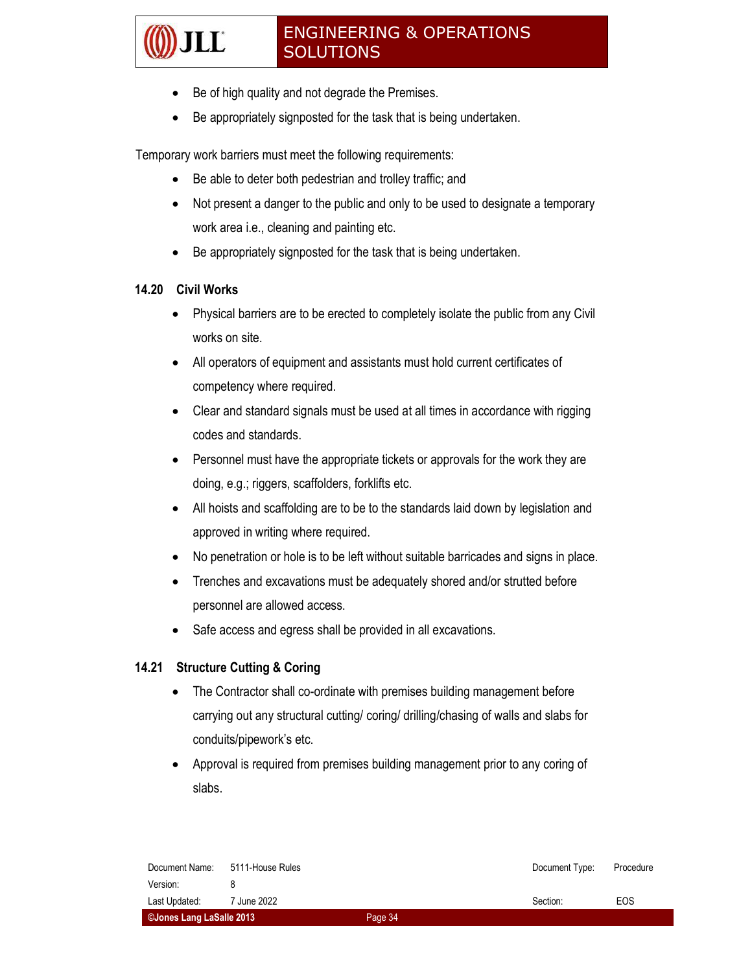- Be of high quality and not degrade the Premises.
- Be appropriately signposted for the task that is being undertaken.

Temporary work barriers must meet the following requirements:

- Be able to deter both pedestrian and trolley traffic; and
- Not present a danger to the public and only to be used to designate a temporary work area i.e., cleaning and painting etc.
- Be appropriately signposted for the task that is being undertaken.

#### 14.20 Civil Works

- Physical barriers are to be erected to completely isolate the public from any Civil works on site.
- All operators of equipment and assistants must hold current certificates of competency where required.
- Clear and standard signals must be used at all times in accordance with rigging codes and standards.
- Personnel must have the appropriate tickets or approvals for the work they are doing, e.g.; riggers, scaffolders, forklifts etc.
- All hoists and scaffolding are to be to the standards laid down by legislation and approved in writing where required.
- No penetration or hole is to be left without suitable barricades and signs in place.
- Trenches and excavations must be adequately shored and/or strutted before personnel are allowed access.
- Safe access and egress shall be provided in all excavations.

#### 14.21 Structure Cutting & Coring

- The Contractor shall co-ordinate with premises building management before carrying out any structural cutting/ coring/ drilling/chasing of walls and slabs for conduits/pipework's etc.
- Approval is required from premises building management prior to any coring of slabs.

| Document Name:           | 5111-House Rules |         | Document Type: | Procedure |
|--------------------------|------------------|---------|----------------|-----------|
| Version:                 |                  |         |                |           |
| Last Updated:            | 7 June 2022      |         | Section:       | EOS       |
| ©Jones Lang LaSalle 2013 |                  | Page 34 |                |           |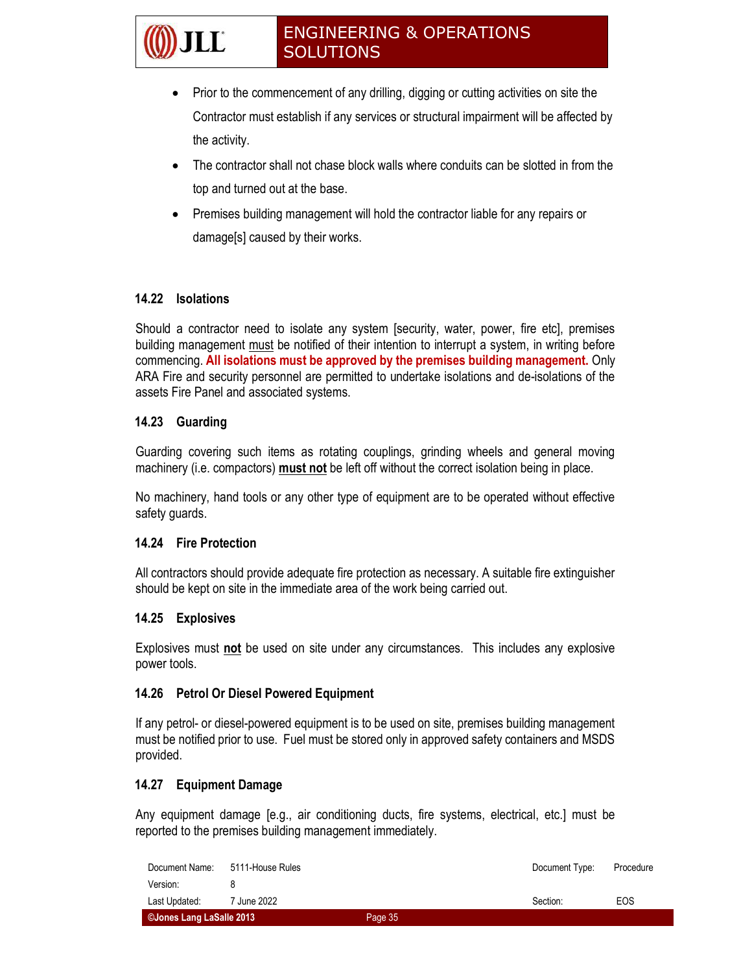- Prior to the commencement of any drilling, digging or cutting activities on site the Contractor must establish if any services or structural impairment will be affected by the activity.
- The contractor shall not chase block walls where conduits can be slotted in from the top and turned out at the base.
- Premises building management will hold the contractor liable for any repairs or damage[s] caused by their works.

#### 14.22 Isolations

Should a contractor need to isolate any system [security, water, power, fire etc], premises building management must be notified of their intention to interrupt a system, in writing before commencing. All isolations must be approved by the premises building management. Only ARA Fire and security personnel are permitted to undertake isolations and de-isolations of the assets Fire Panel and associated systems.

#### 14.23 Guarding

Guarding covering such items as rotating couplings, grinding wheels and general moving machinery (i.e. compactors) must not be left off without the correct isolation being in place.

No machinery, hand tools or any other type of equipment are to be operated without effective safety guards.

#### 14.24 Fire Protection

All contractors should provide adequate fire protection as necessary. A suitable fire extinguisher should be kept on site in the immediate area of the work being carried out.

#### 14.25 Explosives

Explosives must not be used on site under any circumstances. This includes any explosive power tools.

#### 14.26 Petrol Or Diesel Powered Equipment

If any petrol- or diesel-powered equipment is to be used on site, premises building management must be notified prior to use. Fuel must be stored only in approved safety containers and MSDS provided.

#### 14.27 Equipment Damage

Any equipment damage [e.g., air conditioning ducts, fire systems, electrical, etc.] must be reported to the premises building management immediately.

| ©Jones Lang LaSalle 2013 |                  | Page 35 |                |           |
|--------------------------|------------------|---------|----------------|-----------|
| Last Updated:            | 7 June 2022      |         | Section:       | EOS       |
| Version:                 |                  |         |                |           |
| Document Name:           | 5111-House Rules |         | Document Type: | Procedure |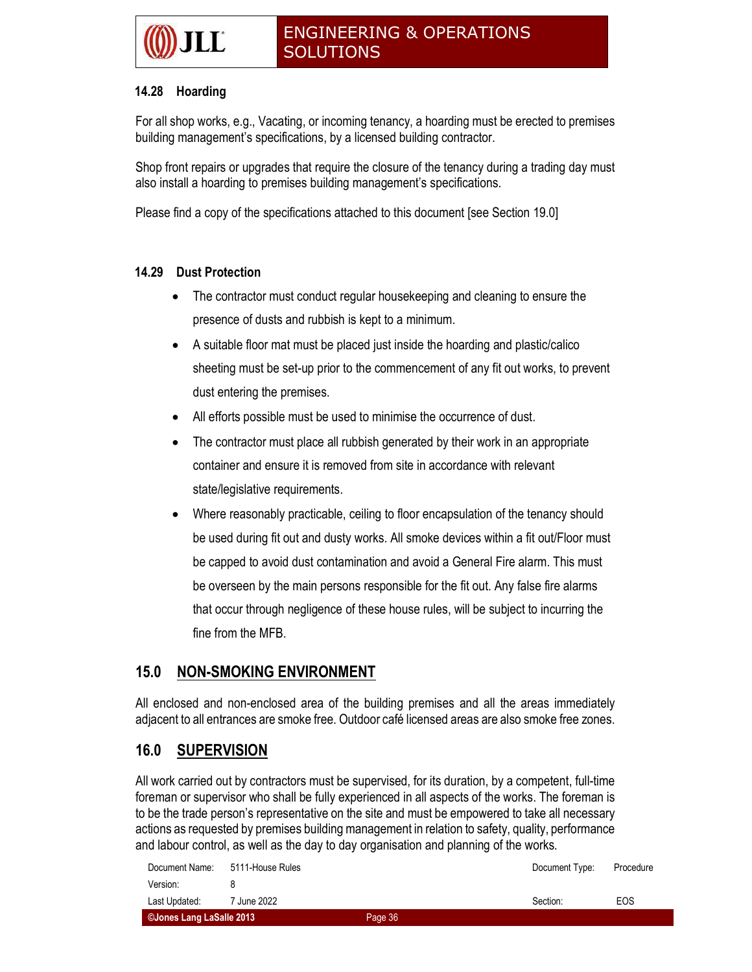#### 14.28 Hoarding

For all shop works, e.g., Vacating, or incoming tenancy, a hoarding must be erected to premises building management's specifications, by a licensed building contractor.

Shop front repairs or upgrades that require the closure of the tenancy during a trading day must also install a hoarding to premises building management's specifications.

Please find a copy of the specifications attached to this document [see Section 19.0]

#### 14.29 Dust Protection

- The contractor must conduct regular housekeeping and cleaning to ensure the presence of dusts and rubbish is kept to a minimum.
- A suitable floor mat must be placed just inside the hoarding and plastic/calico sheeting must be set-up prior to the commencement of any fit out works, to prevent dust entering the premises.
- All efforts possible must be used to minimise the occurrence of dust.
- The contractor must place all rubbish generated by their work in an appropriate container and ensure it is removed from site in accordance with relevant state/legislative requirements.
- Where reasonably practicable, ceiling to floor encapsulation of the tenancy should be used during fit out and dusty works. All smoke devices within a fit out/Floor must be capped to avoid dust contamination and avoid a General Fire alarm. This must be overseen by the main persons responsible for the fit out. Any false fire alarms that occur through negligence of these house rules, will be subject to incurring the fine from the MFB.

### 15.0 NON-SMOKING ENVIRONMENT

All enclosed and non-enclosed area of the building premises and all the areas immediately adjacent to all entrances are smoke free. Outdoor café licensed areas are also smoke free zones.

#### 16.0 SUPERVISION

All work carried out by contractors must be supervised, for its duration, by a competent, full-time foreman or supervisor who shall be fully experienced in all aspects of the works. The foreman is to be the trade person's representative on the site and must be empowered to take all necessary actions as requested by premises building management in relation to safety, quality, performance and labour control, as well as the day to day organisation and planning of the works.

| ©Jones Lang LaSalle 2013 |                  | Page 36 |                |           |
|--------------------------|------------------|---------|----------------|-----------|
| Last Updated:            | 7 June 2022      |         | Section:       | EOS       |
| Version:                 |                  |         |                |           |
| Document Name:           | 5111-House Rules |         | Document Type: | Procedure |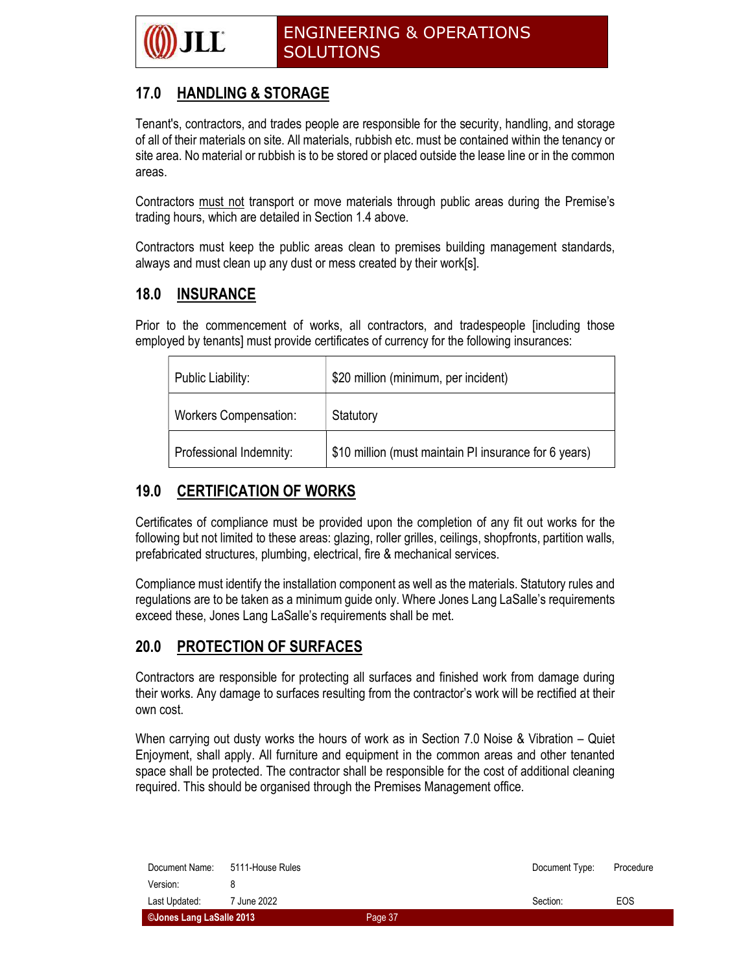

### 17.0 HANDLING & STORAGE

Tenant's, contractors, and trades people are responsible for the security, handling, and storage of all of their materials on site. All materials, rubbish etc. must be contained within the tenancy or site area. No material or rubbish is to be stored or placed outside the lease line or in the common areas.

Contractors must not transport or move materials through public areas during the Premise's trading hours, which are detailed in Section 1.4 above.

Contractors must keep the public areas clean to premises building management standards, always and must clean up any dust or mess created by their work[s].

### 18.0 INSURANCE

Prior to the commencement of works, all contractors, and tradespeople [including those employed by tenants] must provide certificates of currency for the following insurances:

| Public Liability:            | \$20 million (minimum, per incident)                  |
|------------------------------|-------------------------------------------------------|
| <b>Workers Compensation:</b> | Statutory                                             |
| Professional Indemnity:      | \$10 million (must maintain PI insurance for 6 years) |

### 19.0 CERTIFICATION OF WORKS

Certificates of compliance must be provided upon the completion of any fit out works for the following but not limited to these areas: glazing, roller grilles, ceilings, shopfronts, partition walls, prefabricated structures, plumbing, electrical, fire & mechanical services.

Compliance must identify the installation component as well as the materials. Statutory rules and regulations are to be taken as a minimum guide only. Where Jones Lang LaSalle's requirements exceed these, Jones Lang LaSalle's requirements shall be met.

#### 20.0 PROTECTION OF SURFACES

Contractors are responsible for protecting all surfaces and finished work from damage during their works. Any damage to surfaces resulting from the contractor's work will be rectified at their own cost.

When carrying out dusty works the hours of work as in Section 7.0 Noise & Vibration – Quiet Enjoyment, shall apply. All furniture and equipment in the common areas and other tenanted space shall be protected. The contractor shall be responsible for the cost of additional cleaning required. This should be organised through the Premises Management office.

| ©Jones Lang LaSalle 2013 |                        | Page 37 |                |           |
|--------------------------|------------------------|---------|----------------|-----------|
| Last Updated:            | <sup>7</sup> June 2022 |         | Section:       | EOS       |
| Version:                 |                        |         |                |           |
| Document Name:           | 5111-House Rules       |         | Document Type: | Procedure |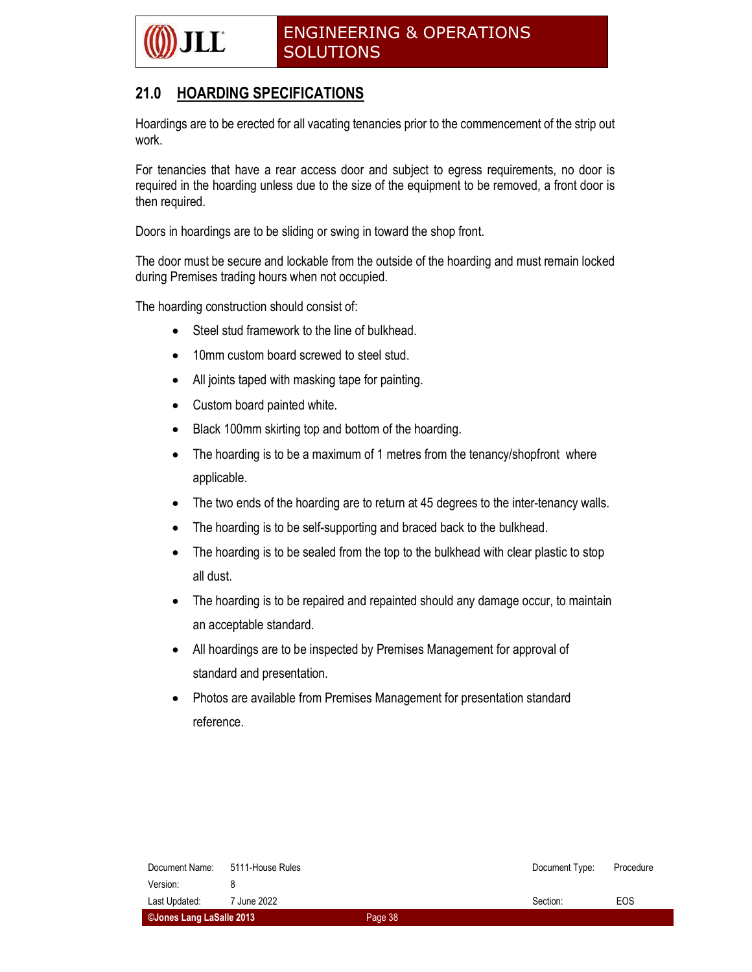

### 21.0 HOARDING SPECIFICATIONS

Hoardings are to be erected for all vacating tenancies prior to the commencement of the strip out work.

For tenancies that have a rear access door and subject to egress requirements, no door is required in the hoarding unless due to the size of the equipment to be removed, a front door is then required.

Doors in hoardings are to be sliding or swing in toward the shop front.

The door must be secure and lockable from the outside of the hoarding and must remain locked during Premises trading hours when not occupied.

The hoarding construction should consist of:

- Steel stud framework to the line of bulkhead.
- 10mm custom board screwed to steel stud.
- All joints taped with masking tape for painting.
- Custom board painted white.
- Black 100mm skirting top and bottom of the hoarding.
- The hoarding is to be a maximum of 1 metres from the tenancy/shopfront where applicable.
- The two ends of the hoarding are to return at 45 degrees to the inter-tenancy walls.
- The hoarding is to be self-supporting and braced back to the bulkhead.
- The hoarding is to be sealed from the top to the bulkhead with clear plastic to stop all dust.
- The hoarding is to be repaired and repainted should any damage occur, to maintain an acceptable standard.
- All hoardings are to be inspected by Premises Management for approval of standard and presentation.
- Photos are available from Premises Management for presentation standard reference.

| Document Name:           | 5111-House Rules |         | Document Type: | Procedure |
|--------------------------|------------------|---------|----------------|-----------|
| Version:                 |                  |         |                |           |
| Last Updated:            | 7 June 2022      |         | Section:       | EOS       |
| ©Jones Lang LaSalle 2013 |                  | Page 38 |                |           |